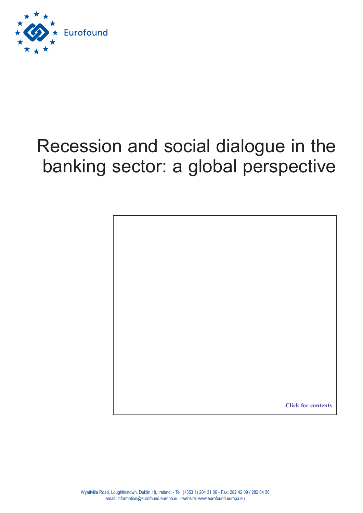

# Recession and social dialogue in the banking sector: a global perspective

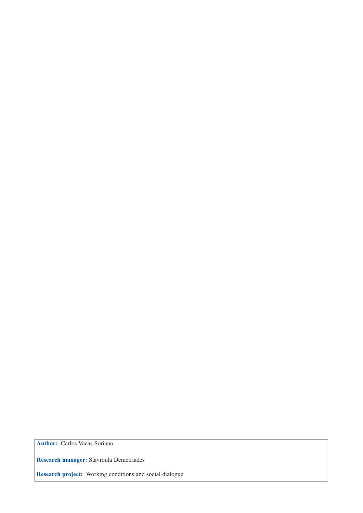**Author:** Carlos Vacas Soriano

**Research manager:** Stavroula Demetriades

**Research project:** Working conditions and social dialogue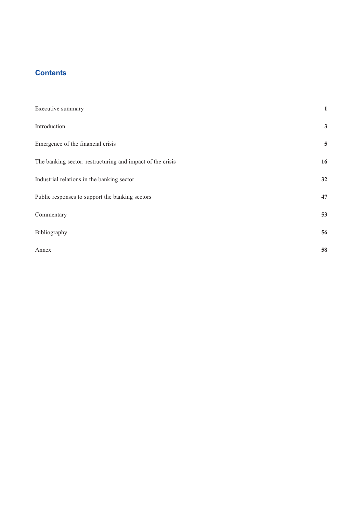## <span id="page-2-0"></span>**Contents**

| 1            |
|--------------|
| $\mathbf{3}$ |
| 5            |
| 16           |
| 32           |
| 47           |
| 53           |
| 56           |
| 58           |
|              |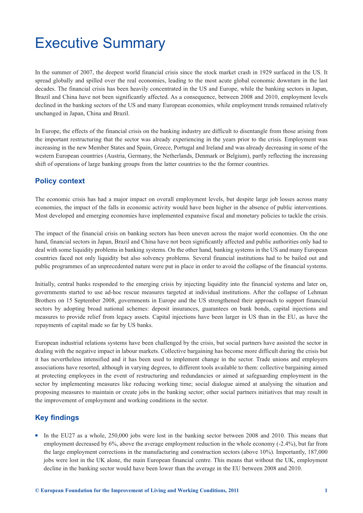## <span id="page-3-0"></span>Executive Summary

In the summer of 2007, the deepest world financial crisis since the stock market crash in 1929 surfaced in the US. It spread globally and spilled over the real economies, leading to the most acute global economic downturn in the last decades. The financial crisis has been heavily concentrated in the US and Europe, while the banking sectors in Japan, Brazil and China have not been significantly affected. As a consequence, between 2008 and 2010, employment levels declined in the banking sectors of the US and many European economies, while employment trends remained relatively unchanged in Japan, China and Brazil.

In Europe, the effects of the financial crisis on the banking industry are difficult to disentangle from those arising from the important restructuring that the sector was already experiencing in the years prior to the crisis. Employment was increasing in the new Member States and Spain, Greece, Portugal and Ireland and was already decreasing in some of the western European countries (Austria, Germany, the Netherlands, Denmark or Belgium), partly reflecting the increasing shift of operations of large banking groups from the latter countries to the the former countries.

## **Policy context**

The economic crisis has had a major impact on overall employment levels, but despite large job losses across many economies, the impact of the falls in economic activity would have been higher in the absence of public interventions. Most developed and emerging economies have implemented expansive fiscal and monetary policies to tackle the crisis.

The impact of the financial crisis on banking sectors has been uneven across the major world economies. On the one hand, financial sectors in Japan, Brazil and China have not been significantly affected and public authorities only had to deal with some liquidity problems in banking systems. On the other hand, banking systems in the US and many European countries faced not only liquidity but also solvency problems. Several financial institutions had to be bailed out and public programmes of an unprecedented nature were put in place in order to avoid the collapse of the financial systems.

Initially, central banks responded to the emerging crisis by injecting liquidity into the financial systems and later on, governments started to use ad-hoc rescue measures targeted at individual institutions. After the collapse of Lehman Brothers on 15 September 2008, governments in Europe and the US strengthened their approach to support financial sectors by adopting broad national schemes: deposit insurances, guarantees on bank bonds, capital injections and measures to provide relief from legacy assets. Capital injections have been larger in US than in the EU, as have the repayments of capital made so far by US banks.

European industrial relations systems have been challenged by the crisis, but social partners have assisted the sector in dealing with the negative impact in labour markets. Collective bargaining has become more difficult during the crisis but it has nevertheless intensified and it has been used to implement change in the sector. Trade unions and employers associations have resorted, although in varying degrees, to different tools available to them: collective bargaining aimed at protecting employees in the event of restructuring and redundancies or aimed at safeguarding employment in the sector by implementing measures like reducing working time; social dialogue aimed at analysing the situation and proposing measures to maintain or create jobs in the banking sector; other social partners initiatives that may result in the improvement of employment and working conditions in the sector.

## **Key findings**

In the EU27 as a whole, 250,000 jobs were lost in the banking sector between 2008 and 2010. This means that employment decreased by 6%, above the average employment reduction in the whole economy (-2.4%), but far from the large employment corrections in the manufacturing and construction sectors (above 10%). Importantly, 187,000 jobs were lost in the UK alone, the main European financial centre. This means that without the UK, employment decline in the banking sector would have been lower than the average in the EU between 2008 and 2010.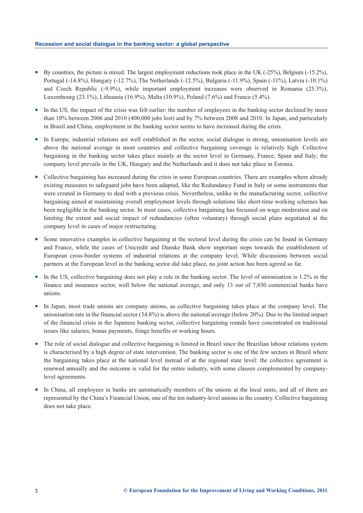- By countries, the picture is mixed. The largest employment reductions took place in the UK (-25%), Belgium (-15.2%), Portugal (-14.8%), Hungary (-12.7%), The Netherlands (-12.5%), Bulgaria (-11.9%), Spain (-11%), Latvia (-10.1%) and Czech Republic (-9.9%), while important employment increases were observed in Romania (25.3%), Luxembourg (23.1%), Lithuania (16.9%), Malta (10.9%), Poland (7.6%) and France (5.4%).
- -In the US, the impact of the crisis was felt earlier: the number of employees in the banking sector declined by more than 10% between 2006 and 2010 (400,000 jobs lost) and by 7% between 2008 and 2010. In Japan, and particularly in Brazil and China, employment in the banking sector seems to have increased during the crisis.
- In Europe, industrial relations are well established in the sector, social dialogue is strong, unionisation levels are above the national average in most countries and collective bargaining coverage is relatively high. Collective bargaining in the banking sector takes place mainly at the sector level in Germany, France, Spain and Italy; the company level prevails in the UK, Hungary and the Netherlands and it does not take place in Estonia.
- Collective bargaining has increased during the crisis in some European countries. There are examples where already existing measures to safeguard jobs have been adapted, like the Redundancy Fund in Italy or some instruments that were created in Germany to deal with a previous crisis. Nevertheless, unlike in the manufacturing sector, collective bargaining aimed at maintaining overall employment levels through solutions like short-time working schemes has been negligible in the banking sector. In most cases, collective bargaining has focussed on wage moderation and on limiting the extent and social impact of redundancies (often voluntary) through social plans negotiated at the company level in cases of major restructuring.
- - Some innovative examples in collective bargaining at the sectoral level during the crisis can be found in Germany and France, while the cases of Unicredit and Danske Bank show important steps towards the establishment of European cross-border systems of industrial relations at the company level. While discussions between social partners at the European level in the banking sector did take place, no joint action has been agreed so far.
- In the US, collective bargaining does not play a role in the banking sector. The level of unionisation is 1.2% in the finance and insurance sector, well below the national average, and only 13 out of 7,830 commercial banks have unions.
- In Japan, most trade unions are company unions, as collective bargaining takes place at the company level. The unionisation rate in the financial sector (34.8%) is above the national average (below 20%). Due to the limited impact of the financial crisis in the Japanese banking sector, collective bargaining rounds have concentrated on traditional issues like salaries, bonus payments, fringe benefits or working hours.
- - The role of social dialogue and collective bargaining is limited in Brazil since the Brazilian labour relations system is characterised by a high degree of state intervention. The banking sector is one of the few sectors in Brazil where the bargaining takes place at the national level instead of at the regional state level: the collective agreement is renewed annually and the outcome is valid for the entire industry, with some clauses complemented by companylevel agreements.
- - In China, all employees in banks are automatically members of the unions at the local units, and all of them are represented by the China's Financial Union, one of the ten industry-level unions in the country. Collective bargaining does not take place.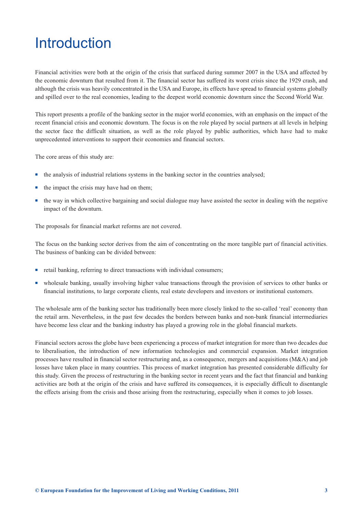## <span id="page-5-0"></span>**Introduction**

Financial activities were both at the origin of the crisis that surfaced during summer 2007 in the USA and affected by the economic downturn that resulted from it. The financial sector has suffered its worst crisis since the 1929 crash, and although the crisis was heavily concentrated in the USA and Europe, its effects have spread to financial systems globally and spilled over to the real economies, leading to the deepest world economic downturn since the Second World War.

This report presents a profile of the banking sector in the major world economies, with an emphasis on the impact of the recent financial crisis and economic downturn. The focus is on the role played by social partners at all levels in helping the sector face the difficult situation, as well as the role played by public authorities, which have had to make unprecedented interventions to support their economies and financial sectors.

The core areas of this study are:

- the analysis of industrial relations systems in the banking sector in the countries analysed;
- the impact the crisis may have had on them;
- the way in which collective bargaining and social dialogue may have assisted the sector in dealing with the negative impact of the downturn.

The proposals for financial market reforms are not covered.

The focus on the banking sector derives from the aim of concentrating on the more tangible part of financial activities. The business of banking can be divided between:

- **•** retail banking, referring to direct transactions with individual consumers;
- wholesale banking, usually involving higher value transactions through the provision of services to other banks or financial institutions, to large corporate clients, real estate developers and investors or institutional customers.

The wholesale arm of the banking sector has traditionally been more closely linked to the so-called 'real' economy than the retail arm. Nevertheless, in the past few decades the borders between banks and non-bank financial intermediaries have become less clear and the banking industry has played a growing role in the global financial markets.

Financial sectors across the globe have been experiencing a process of market integration for more than two decades due to liberalisation, the introduction of new information technologies and commercial expansion. Market integration processes have resulted in financial sector restructuring and, as a consequence, mergers and acquisitions (M&A) and job losses have taken place in many countries. This process of market integration has presented considerable difficulty for this study. Given the process of restructuring in the banking sector in recent years and the fact that financial and banking activities are both at the origin of the crisis and have suffered its consequences, it is especially difficult to disentangle the effects arising from the crisis and those arising from the restructuring, especially when it comes to job losses.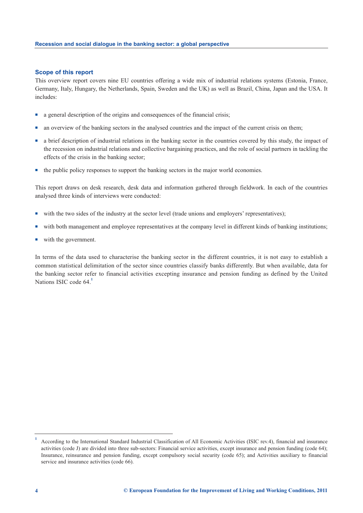#### **Scope of this report**

This overview report covers nine EU countries offering a wide mix of industrial relations systems (Estonia, France, Germany, Italy, Hungary, the Netherlands, Spain, Sweden and the UK) as well as Brazil, China, Japan and the USA. It includes:

- a general description of the origins and consequences of the financial crisis;
- an overview of the banking sectors in the analysed countries and the impact of the current crisis on them;
- a brief description of industrial relations in the banking sector in the countries covered by this study, the impact of the recession on industrial relations and collective bargaining practices, and the role of social partners in tackling the effects of the crisis in the banking sector;
- the public policy responses to support the banking sectors in the major world economies.

This report draws on desk research, desk data and information gathered through fieldwork. In each of the countries analysed three kinds of interviews were conducted:

- with the two sides of the industry at the sector level (trade unions and employers' representatives);
- with both management and employee representatives at the company level in different kinds of banking institutions;
- with the government.

In terms of the data used to characterise the banking sector in the different countries, it is not easy to establish a common statistical delimitation of the sector since countries classify banks differently. But when available, data for the banking sector refer to financial activities excepting insurance and pension funding as defined by the United Nations ISIC code 64.**<sup>1</sup>**

**<sup>1</sup>** According to the International Standard Industrial Classification of All Economic Activities (ISIC rev.4), financial and insurance activities (code J) are divided into three sub-sectors: Financial service activities, except insurance and pension funding (code 64); Insurance, reinsurance and pension funding, except compulsory social security (code 65); and Activities auxiliary to financial service and insurance activities (code 66).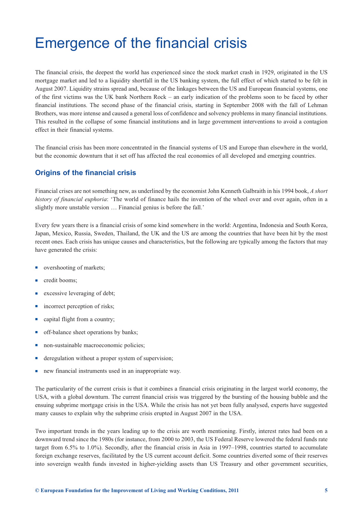## <span id="page-7-0"></span>Emergence of the financial crisis

The financial crisis, the deepest the world has experienced since the stock market crash in 1929, originated in the US mortgage market and led to a liquidity shortfall in the US banking system, the full effect of which started to be felt in August 2007. Liquidity strains spread and, because of the linkages between the US and European financial systems, one of the first victims was the UK bank Northern Rock – an early indication of the problems soon to be faced by other financial institutions. The second phase of the financial crisis, starting in September 2008 with the fall of Lehman Brothers, was more intense and caused a general loss of confidence and solvency problems in many financial institutions. This resulted in the collapse of some financial institutions and in large government interventions to avoid a contagion effect in their financial systems.

The financial crisis has been more concentrated in the financial systems of US and Europe than elsewhere in the world, but the economic downturn that it set off has affected the real economies of all developed and emerging countries.

## **Origins of the financial crisis**

Financial crises are not something new, as underlined by the economist John Kenneth Galbraith in his 1994 book, *A short history of financial euphoria*: 'The world of finance hails the invention of the wheel over and over again, often in a slightly more unstable version … Financial genius is before the fall.'

Every few years there is a financial crisis of some kind somewhere in the world: Argentina, Indonesia and South Korea, Japan, Mexico, Russia, Sweden, Thailand, the UK and the US are among the countries that have been hit by the most recent ones. Each crisis has unique causes and characteristics, but the following are typically among the factors that may have generated the crisis:

- overshooting of markets;
- credit booms;
- excessive leveraging of debt;
- incorrect perception of risks;
- capital flight from a country;
- off-balance sheet operations by banks;
- non-sustainable macroeconomic policies;
- deregulation without a proper system of supervision;
- new financial instruments used in an inappropriate way.

The particularity of the current crisis is that it combines a financial crisis originating in the largest world economy, the USA, with a global downturn. The current financial crisis was triggered by the bursting of the housing bubble and the ensuing subprime mortgage crisis in the USA. While the crisis has not yet been fully analysed, experts have suggested many causes to explain why the subprime crisis erupted in August 2007 in the USA.

Two important trends in the years leading up to the crisis are worth mentioning. Firstly, interest rates had been on a downward trend since the 1980s (for instance, from 2000 to 2003, the US Federal Reserve lowered the federal funds rate target from 6.5% to 1.0%). Secondly, after the financial crisis in Asia in 1997–1998, countries started to accumulate foreign exchange reserves, facilitated by the US current account deficit. Some countries diverted some of their reserves into sovereign wealth funds invested in higher-yielding assets than US Treasury and other government securities,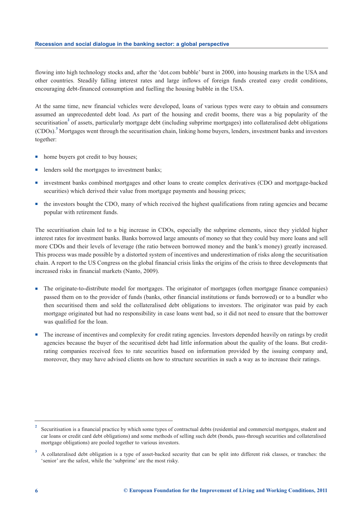flowing into high technology stocks and, after the 'dot.com bubble' burst in 2000, into housing markets in the USA and other countries. Steadily falling interest rates and large inflows of foreign funds created easy credit conditions, encouraging debt-financed consumption and fuelling the housing bubble in the USA.

At the same time, new financial vehicles were developed, loans of various types were easy to obtain and consumers assumed an unprecedented debt load. As part of the housing and credit booms, there was a big popularity of the securitisation<sup>2</sup> of assets, particularly mortgage debt (including subprime mortgages) into collateralised debt obligations (CDOs).**<sup>3</sup>** Mortgages went through the securitisation chain, linking home buyers, lenders, investment banks and investors together:

- home buyers got credit to buy houses;
- lenders sold the mortgages to investment banks;
- investment banks combined mortgages and other loans to create complex derivatives (CDO and mortgage-backed securities) which derived their value from mortgage payments and housing prices;
- the investors bought the CDO, many of which received the highest qualifications from rating agencies and became popular with retirement funds.

The securitisation chain led to a big increase in CDOs, especially the subprime elements, since they yielded higher interest rates for investment banks. Banks borrowed large amounts of money so that they could buy more loans and sell more CDOs and their levels of leverage (the ratio between borrowed money and the bank's money) greatly increased. This process was made possible by a distorted system of incentives and underestimation of risks along the securitisation chain. A report to the US Congress on the global financial crisis links the origins of the crisis to three developments that increased risks in financial markets (Nanto, 2009).

- - The originate-to-distribute model for mortgages. The originator of mortgages (often mortgage finance companies) passed them on to the provider of funds (banks, other financial institutions or funds borrowed) or to a bundler who then securitised them and sold the collateralised debt obligations to investors. The originator was paid by each mortgage originated but had no responsibility in case loans went bad, so it did not need to ensure that the borrower was qualified for the loan.
- - The increase of incentives and complexity for credit rating agencies. Investors depended heavily on ratings by credit agencies because the buyer of the securitised debt had little information about the quality of the loans. But creditrating companies received fees to rate securities based on information provided by the issuing company and, moreover, they may have advised clients on how to structure securities in such a way as to increase their ratings.

**<sup>2</sup>** Securitisation is a financial practice by which some types of contractual debts (residential and commercial mortgages, student and car loans or credit card debt obligations) and some methods of selling such debt (bonds, pass-through securities and collateralised mortgage obligations) are pooled together to various investors.

**<sup>3</sup>** A collateralised debt obligation is a type of asset-backed security that can be split into different risk classes, or tranches: the 'senior' are the safest, while the 'subprime' are the most risky.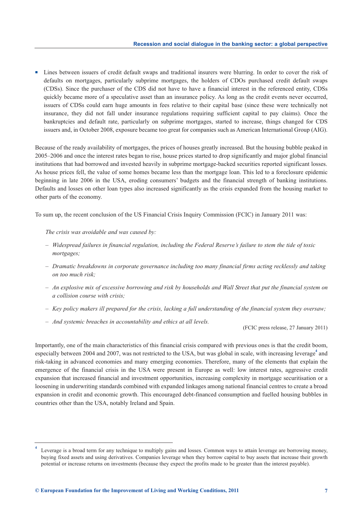- Lines between issuers of credit default swaps and traditional insurers were blurring. In order to cover the risk of defaults on mortgages, particularly subprime mortgages, the holders of CDOs purchased credit default swaps (CDSs). Since the purchaser of the CDS did not have to have a financial interest in the referenced entity, CDSs quickly became more of a speculative asset than an insurance policy. As long as the credit events never occurred, issuers of CDSs could earn huge amounts in fees relative to their capital base (since these were technically not insurance, they did not fall under insurance regulations requiring sufficient capital to pay claims). Once the bankruptcies and default rate, particularly on subprime mortgages, started to increase, things changed for CDS issuers and, in October 2008, exposure became too great for companies such as American International Group (AIG).

Because of the ready availability of mortgages, the prices of houses greatly increased. But the housing bubble peaked in 2005–2006 and once the interest rates began to rise, house prices started to drop significantly and major global financial institutions that had borrowed and invested heavily in subprime mortgage-backed securities reported significant losses. As house prices fell, the value of some homes became less than the mortgage loan. This led to a foreclosure epidemic beginning in late 2006 in the USA, eroding consumers' budgets and the financial strength of banking institutions. Defaults and losses on other loan types also increased significantly as the crisis expanded from the housing market to other parts of the economy.

To sum up, the recent conclusion of the US Financial Crisis Inquiry Commission (FCIC) in January 2011 was:

*The crisis was avoidable and was caused by:* 

- *Widespread failures in financial regulation, including the Federal Reserve's failure to stem the tide of toxic mortgages;*
- *Dramatic breakdowns in corporate governance including too many financial firms acting recklessly and taking on too much risk;*
- *An explosive mix of excessive borrowing and risk by households and Wall Street that put the financial system on a collision course with crisis;*
- *Key policy makers ill prepared for the crisis, lacking a full understanding of the financial system they oversaw;*
- *And systemic breaches in accountability and ethics at all levels.*

(FCIC press release, 27 January 2011)

Importantly, one of the main characteristics of this financial crisis compared with previous ones is that the credit boom, especially between 2004 and 2007, was not restricted to the USA, but was global in scale, with increasing leverage<sup>4</sup> and risk-taking in advanced economies and many emerging economies. Therefore, many of the elements that explain the emergence of the financial crisis in the USA were present in Europe as well: low interest rates, aggressive credit expansion that increased financial and investment opportunities, increasing complexity in mortgage securitisation or a loosening in underwriting standards combined with expanded linkages among national financial centres to create a broad expansion in credit and economic growth. This encouraged debt-financed consumption and fuelled housing bubbles in countries other than the USA, notably Ireland and Spain.

**<sup>4</sup>** Leverage is a broad term for any technique to multiply gains and losses. Common ways to attain leverage are borrowing money, buying fixed assets and using derivatives. Companies leverage when they borrow capital to buy assets that increase their growth potential or increase returns on investments (because they expect the profits made to be greater than the interest payable).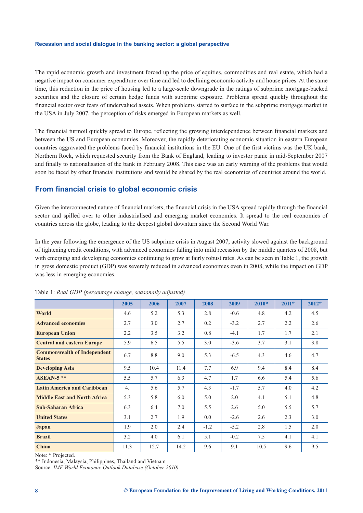The rapid economic growth and investment forced up the price of equities, commodities and real estate, which had a negative impact on consumer expenditure over time and led to declining economic activity and house prices. At the same time, this reduction in the price of housing led to a large-scale downgrade in the ratings of subprime mortgage-backed securities and the closure of certain hedge funds with subprime exposure. Problems spread quickly throughout the financial sector over fears of undervalued assets. When problems started to surface in the subprime mortgage market in the USA in July 2007, the perception of risks emerged in European markets as well.

The financial turmoil quickly spread to Europe, reflecting the growing interdependence between financial markets and between the US and European economies. Moreover, the rapidly deteriorating economic situation in eastern European countries aggravated the problems faced by financial institutions in the EU. One of the first victims was the UK bank, Northern Rock, which requested security from the Bank of England, leading to investor panic in mid-September 2007 and finally to nationalisation of the bank in February 2008. This case was an early warning of the problems that would soon be faced by other financial institutions and would be shared by the real economies of countries around the world.

## **From financial crisis to global economic crisis**

Given the interconnected nature of financial markets, the financial crisis in the USA spread rapidly through the financial sector and spilled over to other industrialised and emerging market economies. It spread to the real economies of countries across the globe, leading to the deepest global downturn since the Second World War.

In the year following the emergence of the US subprime crisis in August 2007, activity slowed against the background of tightening credit conditions, with advanced economies falling into mild recession by the middle quarters of 2008, but with emerging and developing economies continuing to grow at fairly robust rates. As can be seen in Table 1, the growth in gross domestic product (GDP) was severely reduced in advanced economies even in 2008, while the impact on GDP was less in emerging economies.

|                                                     | 2005 | 2006 | 2007 | 2008   | 2009   | $2010*$ | $2011*$ | $2012*$ |
|-----------------------------------------------------|------|------|------|--------|--------|---------|---------|---------|
| World                                               | 4.6  | 5.2  | 5.3  | 2.8    | $-0.6$ | 4.8     | 4.2     | 4.5     |
| <b>Advanced economies</b>                           | 2.7  | 3.0  | 2.7  | 0.2    | $-3.2$ | 2.7     | 2.2     | 2.6     |
| <b>European Union</b>                               | 2.2  | 3.5  | 3.2  | 0.8    | $-4.1$ | 1.7     | 1.7     | 2.1     |
| <b>Central and eastern Europe</b>                   | 5.9  | 6.5  | 5.5  | 3.0    | $-3.6$ | 3.7     | 3.1     | 3.8     |
| <b>Commonwealth of Independent</b><br><b>States</b> | 6.7  | 8.8  | 9.0  | 5.3    | $-6.5$ | 4.3     | 4.6     | 4.7     |
| <b>Developing Asia</b>                              | 9.5  | 10.4 | 11.4 | 7.7    | 6.9    | 9.4     | 8.4     | 8.4     |
| $ASEAN-5$ **                                        | 5.5  | 5.7  | 6.3  | 4.7    | 1.7    | 6.6     | 5.4     | 5.6     |
| <b>Latin America and Caribbean</b>                  | 4.   | 5.6  | 5.7  | 4.3    | $-1.7$ | 5.7     | 4.0     | 4.2     |
| <b>Middle East and North Africa</b>                 | 5.3  | 5.8  | 6.0  | 5.0    | 2.0    | 4.1     | 5.1     | 4.8     |
| <b>Sub-Saharan Africa</b>                           | 6.3  | 6.4  | 7.0  | 5.5    | 2.6    | 5.0     | 5.5     | 5.7     |
| <b>United States</b>                                | 3.1  | 2.7  | 1.9  | 0.0    | $-2.6$ | 2.6     | 2.3     | 3.0     |
| Japan                                               | 1.9  | 2.0  | 2.4  | $-1.2$ | $-5.2$ | 2.8     | 1.5     | 2.0     |
| <b>Brazil</b>                                       | 3.2  | 4.0  | 6.1  | 5.1    | $-0.2$ | 7.5     | 4.1     | 4.1     |
| China                                               | 11.3 | 12.7 | 14.2 | 9.6    | 9.1    | 10.5    | 9.6     | 9.5     |

Table 1: *Real GDP (percentage change, seasonally adjusted)*

Note: \* Projected.

\*\* Indonesia, Malaysia, Philippines, Thailand and Vietnam

Source: *IMF World Economic Outlook Database (October 2010)*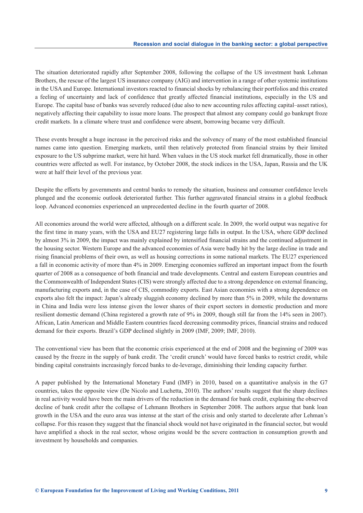The situation deteriorated rapidly after September 2008, following the collapse of the US investment bank Lehman Brothers, the rescue of the largest US insurance company (AIG) and intervention in a range of other systemic institutions in the USA and Europe. International investors reacted to financial shocks by rebalancing their portfolios and this created a feeling of uncertainty and lack of confidence that greatly affected financial institutions, especially in the US and Europe. The capital base of banks was severely reduced (due also to new accounting rules affecting capital–asset ratios), negatively affecting their capability to issue more loans. The prospect that almost any company could go bankrupt froze credit markets. In a climate where trust and confidence were absent, borrowing became very difficult.

These events brought a huge increase in the perceived risks and the solvency of many of the most established financial names came into question. Emerging markets, until then relatively protected from financial strains by their limited exposure to the US subprime market, were hit hard. When values in the US stock market fell dramatically, those in other countries were affected as well. For instance, by October 2008, the stock indices in the USA, Japan, Russia and the UK were at half their level of the previous year.

Despite the efforts by governments and central banks to remedy the situation, business and consumer confidence levels plunged and the economic outlook deteriorated further. This further aggravated financial strains in a global feedback loop. Advanced economies experienced an unprecedented decline in the fourth quarter of 2008.

All economies around the world were affected, although on a different scale. In 2009, the world output was negative for the first time in many years, with the USA and EU27 registering large falls in output. In the USA, where GDP declined by almost 3% in 2009, the impact was mainly explained by intensified financial strains and the continued adjustment in the housing sector. Western Europe and the advanced economies of Asia were badly hit by the large decline in trade and rising financial problems of their own, as well as housing corrections in some national markets. The EU27 experienced a fall in economic activity of more than 4% in 2009. Emerging economies suffered an important impact from the fourth quarter of 2008 as a consequence of both financial and trade developments. Central and eastern European countries and the Commonwealth of Independent States (CIS) were strongly affected due to a strong dependence on external financing, manufacturing exports and, in the case of CIS, commodity exports. East Asian economies with a strong dependence on exports also felt the impact: Japan's already sluggish economy declined by more than 5% in 2009, while the downturns in China and India were less intense given the lower shares of their export sectors in domestic production and more resilient domestic demand (China registered a growth rate of 9% in 2009, though still far from the 14% seen in 2007). African, Latin American and Middle Eastern countries faced decreasing commodity prices, financial strains and reduced demand for their exports. Brazil's GDP declined slightly in 2009 (IMF, 2009; IMF, 2010).

The conventional view has been that the economic crisis experienced at the end of 2008 and the beginning of 2009 was caused by the freeze in the supply of bank credit. The 'credit crunch' would have forced banks to restrict credit, while binding capital constraints increasingly forced banks to de-leverage, diminishing their lending capacity further.

A paper published by the International Monetary Fund (IMF) in 2010, based on a quantitative analysis in the G7 countries, takes the opposite view (De Nicolo and Luchetta, 2010). The authors' results suggest that the sharp declines in real activity would have been the main drivers of the reduction in the demand for bank credit, explaining the observed decline of bank credit after the collapse of Lehmann Brothers in September 2008. The authors argue that bank loan growth in the USA and the euro area was intense at the start of the crisis and only started to decelerate after Lehman's collapse. For this reason they suggest that the financial shock would not have originated in the financial sector, but would have amplified a shock in the real sector, whose origins would be the severe contraction in consumption growth and investment by households and companies.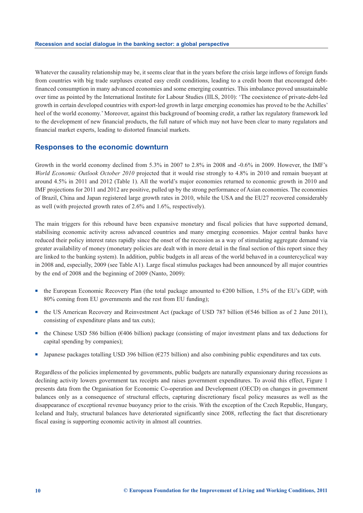Whatever the causality relationship may be, it seems clear that in the years before the crisis large inflows of foreign funds from countries with big trade surpluses created easy credit conditions, leading to a credit boom that encouraged debtfinanced consumption in many advanced economies and some emerging countries. This imbalance proved unsustainable over time as pointed by the International Institute for Labour Studies (IILS, 2010): 'The coexistence of private-debt-led growth in certain developed countries with export-led growth in large emerging economies has proved to be the Achilles' heel of the world economy.' Moreover, against this background of booming credit, a rather lax regulatory framework led to the development of new financial products, the full nature of which may not have been clear to many regulators and financial market experts, leading to distorted financial markets.

#### **Responses to the economic downturn**

Growth in the world economy declined from 5.3% in 2007 to 2.8% in 2008 and -0.6% in 2009. However, the IMF's *World Economic Outlook October 2010* projected that it would rise strongly to 4.8% in 2010 and remain buoyant at around 4.5% in 2011 and 2012 (Table 1). All the world's major economies returned to economic growth in 2010 and IMF projections for 2011 and 2012 are positive, pulled up by the strong performance of Asian economies. The economies of Brazil, China and Japan registered large growth rates in 2010, while the USA and the EU27 recovered considerably as well (with projected growth rates of 2.6% and 1.6%, respectively).

The main triggers for this rebound have been expansive monetary and fiscal policies that have supported demand, stabilising economic activity across advanced countries and many emerging economies. Major central banks have reduced their policy interest rates rapidly since the onset of the recession as a way of stimulating aggregate demand via greater availability of money (monetary policies are dealt with in more detail in the final section of this report since they are linked to the banking system). In addition, public budgets in all areas of the world behaved in a countercyclical way in 2008 and, especially, 2009 (see Table A1). Large fiscal stimulus packages had been announced by all major countries by the end of 2008 and the beginning of 2009 (Nanto, 2009):

- the European Economic Recovery Plan (the total package amounted to  $€200$  billion, 1.5% of the EU's GDP, with 80% coming from EU governments and the rest from EU funding);
- the US American Recovery and Reinvestment Act (package of USD 787 billion (€546 billion as of 2 June 2011), consisting of expenditure plans and tax cuts);
- the Chinese USD 586 billion (€406 billion) package (consisting of major investment plans and tax deductions for capital spending by companies);
- -Japanese packages totalling USD 396 billion ( $\epsilon$ 275 billion) and also combining public expenditures and tax cuts.

Regardless of the policies implemented by governments, public budgets are naturally expansionary during recessions as declining activity lowers government tax receipts and raises government expenditures. To avoid this effect, Figure 1 presents data from the Organisation for Economic Co-operation and Development (OECD) on changes in government balances only as a consequence of structural effects, capturing discretionary fiscal policy measures as well as the disappearance of exceptional revenue buoyancy prior to the crisis. With the exception of the Czech Republic, Hungary, Iceland and Italy, structural balances have deteriorated significantly since 2008, reflecting the fact that discretionary fiscal easing is supporting economic activity in almost all countries.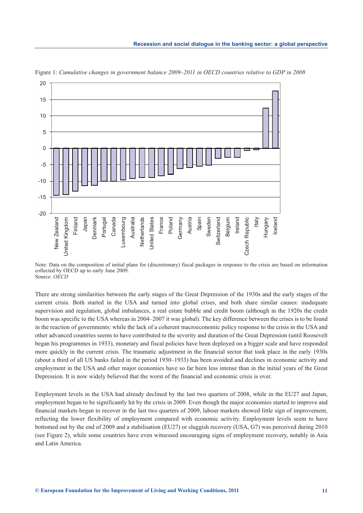

Figure 1: *Cumulative changes in government balance 2009–2011 in OECD countries relative to GDP in 2008*

Note: Data on the composition of initial plans for (discretionary) fiscal packages in response to the crisis are based on information collected by OECD up to early June 2009. Source: *OECD*

There are strong similarities between the early stages of the Great Depression of the 1930s and the early stages of the current crisis. Both started in the USA and turned into global crises, and both share similar causes: inadequate supervision and regulation, global imbalances, a real estate bubble and credit boom (although in the 1920s the credit boom was specific to the USA whereas in 2004–2007 it was global). The key difference between the crises is to be found in the reaction of governments: while the lack of a coherent macroeconomic policy response to the crisis in the USA and other advanced countries seems to have contributed to the severity and duration of the Great Depression (until Roosevelt began his programmes in 1933), monetary and fiscal policies have been deployed on a bigger scale and have responded more quickly in the current crisis. The traumatic adjustment in the financial sector that took place in the early 1930s (about a third of all US banks failed in the period 1930–1933) has been avoided and declines in economic activity and employment in the USA and other major economies have so far been less intense than in the initial years of the Great Depression. It is now widely believed that the worst of the financial and economic crisis is over. **EVALUAT SURFACTS**<br> **EVALUAT THE COND WAS THE COND THE CONDITION FOR THE CONDITION SET AND THE CONDITION FOR THE CONDITION FOR THE CONDITION SURFACTS TO A SURFACT SURFACT SURFACT SURFACT SURFACT SURFACT SURFACT SURFACT SU** 

Employment levels in the USA had already declined by the last two quarters of 2008, while in the EU27 and Japan, employment began to be significantly hit by the crisis in 2009. Even though the major economies started to improve and financial markets began to recover in the last two quarters of 2009, labour markets showed little sign of improvement, reflecting the lower flexibility of employment compared with economic activity. Employment levels seem to have bottomed out by the end of 2009 and a stabilisation (EU27) or sluggish recovery (USA, G7) was perceived during 2010 (see Figure 2), while some countries have even witnessed encouraging signs of employment recovery, notably in Asia and Latin America.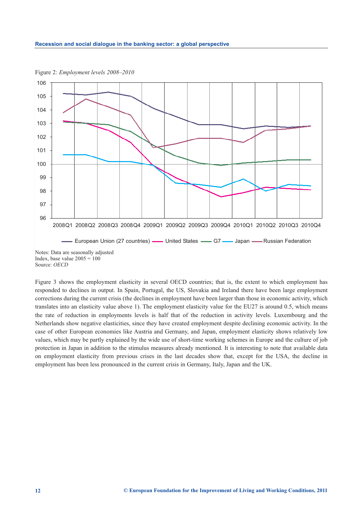

Figure 2: *Employment levels 2008–2010*

Figure 3 shows the employment elasticity in several OECD countries; that is, the extent to which employment has responded to declines in output. In Spain, Portugal, the US, Slovakia and Ireland there have been large employment corrections during the current crisis (the declines in employment have been larger than those in economic activity, which translates into an elasticity value above 1). The employment elasticity value for the EU27 is around 0.5, which means the rate of reduction in employments levels is half that of the reduction in activity levels. Luxembourg and the Netherlands show negative elasticities, since they have created employment despite declining economic activity. In the case of other European economies like Austria and Germany, and Japan, employment elasticity shows relatively low values, which may be partly explained by the wide use of short-time working schemes in Europe and the culture of job protection in Japan in addition to the stimulus measures already mentioned. It is interesting to note that available data on employment elasticity from previous crises in the last decades show that, except for the USA, the decline in employment has been less pronounced in the current crisis in Germany, Italy, Japan and the UK.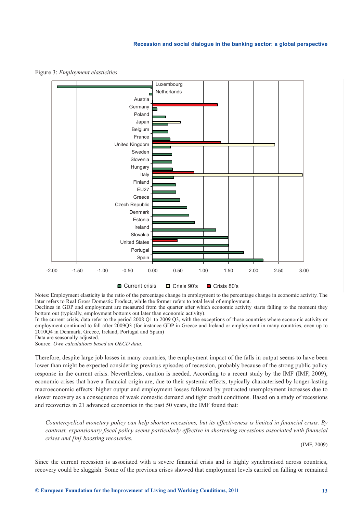

Figure 3: *Employment elasticities*

Notes: Employment elasticity is the ratio of the percentage change in employment to the percentage change in economic activity. The later refers to Real Gross Domestic Product, while the former refers to total level of employment.

Declines in GDP and employment are measured from the quarter after which economic activity starts falling to the moment they bottom out (typically, employment bottoms out later than economic activity).

In the current crisis, data refer to the period 2008 Q1 to 2009 Q3, with the exceptions of those countries where economic activity or employment continued to fall after 2009Q3 (for instance GDP in Greece and Ireland or employment in many countries, even up to 2010Q4 in Denmark, Greece, Ireland, Portugal and Spain)

Data are seasonally adjusted.

Source: *Own calculations based on OECD data*.

Therefore, despite large job losses in many countries, the employment impact of the falls in output seems to have been lower than might be expected considering previous episodes of recession, probably because of the strong public policy response in the current crisis. Nevertheless, caution is needed. According to a recent study by the IMF (IMF, 2009), economic crises that have a financial origin are, due to their systemic effects, typically characterised by longer-lasting macroeconomic effects: higher output and employment losses followed by protracted unemployment increases due to slower recovery as a consequence of weak domestic demand and tight credit conditions. Based on a study of recessions and recoveries in 21 advanced economies in the past 50 years, the IMF found that:

*Countercyclical monetary policy can help shorten recessions, but its effectiveness is limited in financial crisis. By contrast, expansionary fiscal policy seems particularly effective in shortening recessions associated with financial crises and [in] boosting recoveries.*

(IMF, 2009)

Since the current recession is associated with a severe financial crisis and is highly synchronised across countries, recovery could be sluggish. Some of the previous crises showed that employment levels carried on falling or remained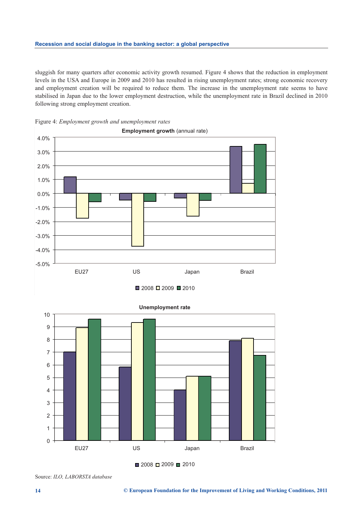sluggish for many quarters after economic activity growth resumed. Figure 4 shows that the reduction in employment levels in the USA and Europe in 2009 and 2010 has resulted in rising unemployment rates; strong economic recovery and employment creation will be required to reduce them. The increase in the unemployment rate seems to have stabilised in Japan due to the lower employment destruction, while the unemployment rate in Brazil declined in 2010 following strong employment creation.









Source: *ILO, LABORSTA database*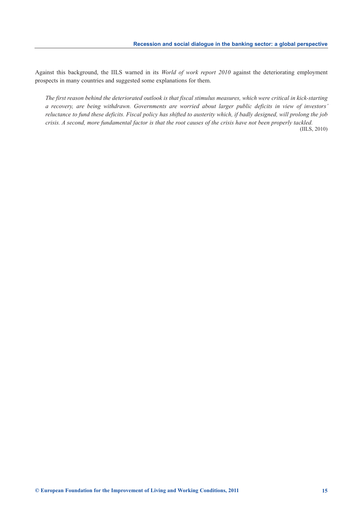Against this background, the IILS warned in its *World of work report 2010* against the deteriorating employment prospects in many countries and suggested some explanations for them.

*The first reason behind the deteriorated outlook is that fiscal stimulus measures, which were critical in kick-starting a recovery, are being withdrawn. Governments are worried about larger public deficits in view of investors' reluctance to fund these deficits. Fiscal policy has shifted to austerity which, if badly designed, will prolong the job crisis. A second, more fundamental factor is that the root causes of the crisis have not been properly tackled.*

(IILS, 2010)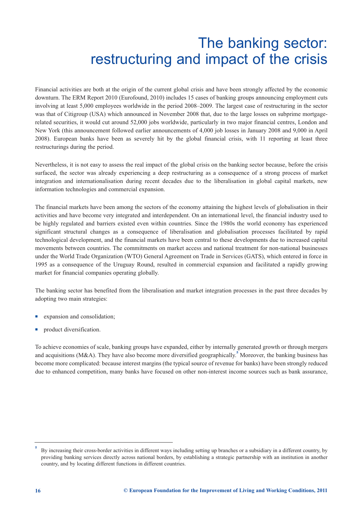## The banking sector: restructuring and impact of the crisis

<span id="page-18-0"></span>Financial activities are both at the origin of the current global crisis and have been strongly affected by the economic downturn. The ERM Report 2010 (Eurofound, 2010) includes 15 cases of banking groups announcing employment cuts involving at least 5,000 employees worldwide in the period 2008–2009. The largest case of restructuring in the sector was that of Citigroup (USA) which announced in November 2008 that, due to the large losses on subprime mortgagerelated securities, it would cut around 52,000 jobs worldwide, particularly in two major financial centres, London and New York (this announcement followed earlier announcements of 4,000 job losses in January 2008 and 9,000 in April 2008). European banks have been as severely hit by the global financial crisis, with 11 reporting at least three restructurings during the period.

Nevertheless, it is not easy to assess the real impact of the global crisis on the banking sector because, before the crisis surfaced, the sector was already experiencing a deep restructuring as a consequence of a strong process of market integration and internationalisation during recent decades due to the liberalisation in global capital markets, new information technologies and commercial expansion.

The financial markets have been among the sectors of the economy attaining the highest levels of globalisation in their activities and have become very integrated and interdependent. On an international level, the financial industry used to be highly regulated and barriers existed even within countries. Since the 1980s the world economy has experienced significant structural changes as a consequence of liberalisation and globalisation processes facilitated by rapid technological development, and the financial markets have been central to these developments due to increased capital movements between countries. The commitments on market access and national treatment for non-national businesses under the World Trade Organization (WTO) General Agreement on Trade in Services (GATS), which entered in force in 1995 as a consequence of the Uruguay Round, resulted in commercial expansion and facilitated a rapidly growing market for financial companies operating globally.

The banking sector has benefited from the liberalisation and market integration processes in the past three decades by adopting two main strategies:

- expansion and consolidation;
- product diversification.

To achieve economies of scale, banking groups have expanded, either by internally generated growth or through mergers and acquisitions (M&A). They have also become more diversified geographically.**<sup>5</sup>** Moreover, the banking business has become more complicated: because interest margins (the typical source of revenue for banks) have been strongly reduced due to enhanced competition, many banks have focused on other non-interest income sources such as bank assurance,

**<sup>5</sup>** By increasing their cross-border activities in different ways including setting up branches or a subsidiary in a different country, by providing banking services directly across national borders, by establishing a strategic partnership with an institution in another country, and by locating different functions in different countries.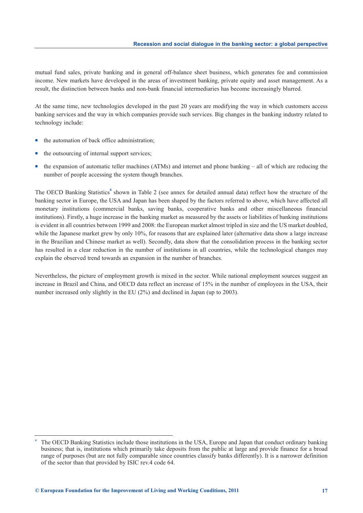mutual fund sales, private banking and in general off-balance sheet business, which generates fee and commission income. New markets have developed in the areas of investment banking, private equity and asset management. As a result, the distinction between banks and non-bank financial intermediaries has become increasingly blurred.

At the same time, new technologies developed in the past 20 years are modifying the way in which customers access banking services and the way in which companies provide such services. Big changes in the banking industry related to technology include:

- the automation of back office administration;
- the outsourcing of internal support services;
- the expansion of automatic teller machines (ATMs) and internet and phone banking – all of which are reducing the number of people accessing the system though branches.

The OECD Banking Statistics**<sup>6</sup>** shown in Table 2 (see annex for detailed annual data) reflect how the structure of the banking sector in Europe, the USA and Japan has been shaped by the factors referred to above, which have affected all monetary institutions (commercial banks, saving banks, cooperative banks and other miscellaneous financial institutions). Firstly, a huge increase in the banking market as measured by the assets or liabilities of banking institutions is evident in all countries between 1999 and 2008: the European market almost tripled in size and the US market doubled, while the Japanese market grew by only 10%, for reasons that are explained later (alternative data show a large increase in the Brazilian and Chinese market as well). Secondly, data show that the consolidation process in the banking sector has resulted in a clear reduction in the number of institutions in all countries, while the technological changes may explain the observed trend towards an expansion in the number of branches.

Nevertheless, the picture of employment growth is mixed in the sector. While national employment sources suggest an increase in Brazil and China, and OECD data reflect an increase of 15% in the number of employees in the USA, their number increased only slightly in the EU (2%) and declined in Japan (up to 2003).

**<sup>6</sup>** The OECD Banking Statistics include those institutions in the USA, Europe and Japan that conduct ordinary banking business; that is, institutions which primarily take deposits from the public at large and provide finance for a broad range of purposes (but are not fully comparable since countries classify banks differently). It is a narrower definition of the sector than that provided by ISIC rev.4 code 64.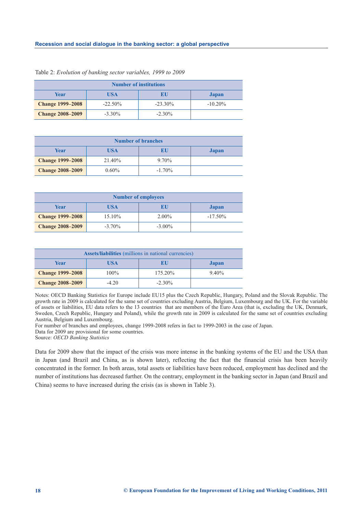| <b>Number of institutions</b> |            |            |            |  |  |  |  |  |
|-------------------------------|------------|------------|------------|--|--|--|--|--|
| Year                          | USA        | BU         | Japan      |  |  |  |  |  |
| <b>Change 1999–2008</b>       | $-22.50\%$ | $-23.30\%$ | $-10.20\%$ |  |  |  |  |  |
| <b>Change 2008-2009</b>       | $-3.30\%$  | $-2.30\%$  |            |  |  |  |  |  |

|  | Table 2: Evolution of banking sector variables, 1999 to 2009 |  |  |  |  |  |
|--|--------------------------------------------------------------|--|--|--|--|--|
|--|--------------------------------------------------------------|--|--|--|--|--|

| <b>Number of branches</b> |          |           |       |  |  |  |  |  |  |
|---------------------------|----------|-----------|-------|--|--|--|--|--|--|
| Year                      | USA      | EU        | Japan |  |  |  |  |  |  |
| <b>Change 1999–2008</b>   | 21.40%   | $9.70\%$  |       |  |  |  |  |  |  |
| <b>Change 2008-2009</b>   | $0.60\%$ | $-1.70\%$ |       |  |  |  |  |  |  |

| <b>Number of employees</b> |           |           |              |  |  |  |  |  |
|----------------------------|-----------|-----------|--------------|--|--|--|--|--|
| Year                       | USA       | EU        | <b>Japan</b> |  |  |  |  |  |
| <b>Change 1999–2008</b>    | 15.10%    | $2.00\%$  | $-17.50\%$   |  |  |  |  |  |
| <b>Change 2008-2009</b>    | $-3.70\%$ | $-3.00\%$ |              |  |  |  |  |  |

| <b>Assets/liabilities</b> (millions in national currencies) |         |           |          |  |  |  |  |  |
|-------------------------------------------------------------|---------|-----------|----------|--|--|--|--|--|
| USA<br>Year<br>EU<br><b>Japan</b>                           |         |           |          |  |  |  |  |  |
| <b>Change 1999–2008</b>                                     | $100\%$ | 175.20%   | $9.40\%$ |  |  |  |  |  |
| <b>Change 2008-2009</b>                                     | $-4.20$ | $-2.30\%$ |          |  |  |  |  |  |

Notes: OECD Banking Statistics for Europe include EU15 plus the Czech Republic, Hungary, Poland and the Slovak Republic. The growth rate in 2009 is calculated for the same set of countries excluding Austria, Belgium, Luxembourg and the UK. For the variable of assets or liabilities, EU data refers to the 13 countries that are members of the Euro Area (that is, excluding the UK, Denmark, Sweden, Czech Republic, Hungary and Poland), while the growth rate in 2009 is calculated for the same set of countries excluding Austria, Belgium and Luxembourg.

For number of branches and employees, change 1999-2008 refers in fact to 1999-2003 in the case of Japan. Data for 2009 are provisional for some countries.

Source: *OECD Banking Statistics*

Data for 2009 show that the impact of the crisis was more intense in the banking systems of the EU and the USA than in Japan (and Brazil and China, as is shown later), reflecting the fact that the financial crisis has been heavily concentrated in the former. In both areas, total assets or liabilities have been reduced, employment has declined and the number of institutions has decreased further. On the contrary, employment in the banking sector in Japan (and Brazil and China) seems to have increased during the crisis (as is shown in Table 3).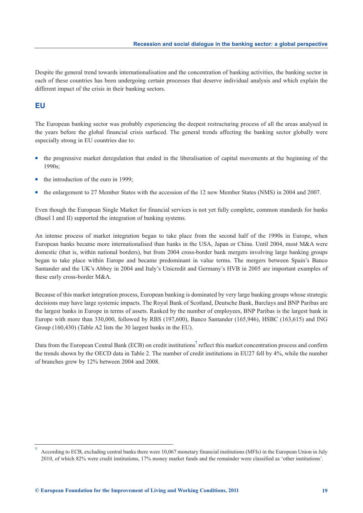Despite the general trend towards internationalisation and the concentration of banking activities, the banking sector in each of these countries has been undergoing certain processes that deserve individual analysis and which explain the different impact of the crisis in their banking sectors.

## **EU**

The European banking sector was probably experiencing the deepest restructuring process of all the areas analysed in the years before the global financial crisis surfaced. The general trends affecting the banking sector globally were especially strong in EU countries due to:

- the progressive market deregulation that ended in the liberalisation of capital movements at the beginning of the 1990s;
- the introduction of the euro in 1999;
- the enlargement to 27 Member States with the accession of the 12 new Member States (NMS) in 2004 and 2007.

Even though the European Single Market for financial services is not yet fully complete, common standards for banks (Basel I and II) supported the integration of banking systems.

An intense process of market integration began to take place from the second half of the 1990s in Europe, when European banks became more internationalised than banks in the USA, Japan or China. Until 2004, most M&A were domestic (that is, within national borders), but from 2004 cross-border bank mergers involving large banking groups began to take place within Europe and became predominant in value terms. The mergers between Spain's Banco Santander and the UK's Abbey in 2004 and Italy's Unicredit and Germany's HVB in 2005 are important examples of these early cross-border M&A.

Because of this market integration process, European banking is dominated by very large banking groups whose strategic decisions may have large systemic impacts. The Royal Bank of Scotland, Deutsche Bank, Barclays and BNP Paribas are the largest banks in Europe in terms of assets. Ranked by the number of employees, BNP Paribas is the largest bank in Europe with more than 330,000, followed by RBS (197,600), Banco Santander (165,946), HSBC (163,615) and ING Group (160,430) (Table A2 lists the 30 largest banks in the EU).

Data from the European Central Bank (ECB) on credit institutions<sup>7</sup> reflect this market concentration process and confirm the trends shown by the OECD data in Table 2. The number of credit institutions in EU27 fell by 4%, while the number of branches grew by 12% between 2004 and 2008.

**<sup>7</sup>** According to ECB, excluding central banks there were 10,067 monetary financial institutions (MFIs) in the European Union in July 2010, of which 82% were credit institutions, 17% money market funds and the remainder were classified as 'other institutions'.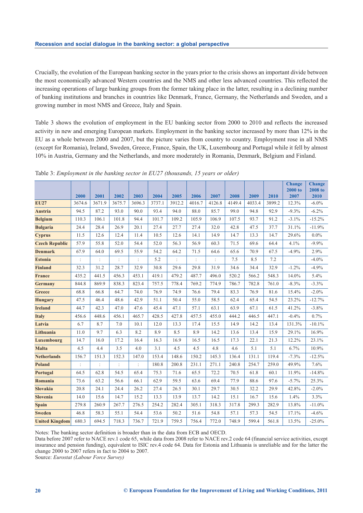Crucially, the evolution of the European banking sector in the years prior to the crisis shows an important divide between the most economically advanced Western countries and the NMS and other less advanced countries. This reflected the increasing operations of large banking groups from the former taking place in the latter, resulting in a declining number of banking institutions and branches in countries like Denmark, France, Germany, the Netherlands and Sweden, and a growing number in most NMS and Greece, Italy and Spain.

Table 3 shows the evolution of employment in the EU banking sector from 2000 to 2010 and reflects the increased activity in new and emerging European markets. Employment in the banking sector increased by more than 12% in the EU as a whole between 2000 and 2007, but the picture varies from country to country. Employment rose in all NMS (except for Romania), Ireland, Sweden, Greece, France, Spain, the UK, Luxembourg and Portugal while it fell by almost 10% in Austria, Germany and the Netherlands, and more moderately in Romania, Denmark, Belgium and Finland.

|                       | 2000           | 2001           | 2002           | 2003           | 2004   | 2005   | 2006   | 2007           | 2008   | 2009   | 2010   | <b>Change</b><br>2000 to<br>2007 | <b>Change</b><br><b>2008 to</b><br>2010 |
|-----------------------|----------------|----------------|----------------|----------------|--------|--------|--------|----------------|--------|--------|--------|----------------------------------|-----------------------------------------|
| <b>EU27</b>           | 3674.6         | 3671.9         | 3675.7         | 3696.3         | 3737.1 | 3912.2 | 4016.7 | 4126.8         | 4149.4 | 4033.4 | 3899.2 | 12.3%                            | $-6.0\%$                                |
| <b>Austria</b>        | 94.5           | 87.2           | 93.0           | 90.0           | 93.4   | 94.0   | 88.0   | 85.7           | 99.0   | 94.8   | 92.9   | $-9.3%$                          | $-6.2%$                                 |
| <b>Belgium</b>        | 110.3          | 106.1          | 101.8          | 94.4           | 101.7  | 109.2  | 105.9  | 106.9          | 107.5  | 93.7   | 91.2   | $-3.1\%$                         | $-15.2%$                                |
| <b>Bulgaria</b>       | 24.4           | 28.4           | 26.9           | 20.1           | 27.4   | 27.7   | 27.4   | 32.0           | 42.8   | 47.5   | 37.7   | 31.1%                            | $-11.9%$                                |
| <b>Cyprus</b>         | 11.5           | 12.6           | 12.4           | 11.4           | 10.5   | 12.6   | 14.1   | 14.9           | 14.7   | 13.3   | 14.7   | 29.6%                            | $0.0\%$                                 |
| <b>Czech Republic</b> | 57.9           | 55.8           | 52.0           | 54.4           | 52.0   | 56.3   | 56.9   | 60.3           | 71.5   | 69.6   | 64.4   | 4.1%                             | $-9.9\%$                                |
| <b>Denmark</b>        | 67.9           | 64.0           | 69.5           | 55.9           | 54.2   | 64.2   | 71.5   | 64.6           | 65.6   | 70.9   | 67.5   | $-4.9%$                          | 2.9%                                    |
| <b>Estonia</b>        | :              |                |                |                | 5.2    | :      |        | $\ddot{\cdot}$ | 7.5    | 8.5    | 7.2    |                                  | $-4.0%$                                 |
| <b>Finland</b>        | 32.3           | 31.2           | 28.7           | 32.9           | 30.8   | 29.6   | 29.8   | 31.9           | 34.6   | 34.4   | 32.9   | $-1.2%$                          | $-4.9%$                                 |
| <b>France</b>         | 435.2          | 441.5          | 456.3          | 453.1          | 419.1  | 479.2  | 487.7  | 496.0          | 520.2  | 566.2  | 548.3  | 14.0%                            | 5.4%                                    |
| <b>Germany</b>        | 844.8          | 869.9          | 838.3          | 823.4          | 757.5  | 778.4  | 769.2  | 774.9          | 786.7  | 782.8  | 761.0  | $-8.3\%$                         | $-3.3%$                                 |
| Greece                | 68.8           | 66.8           | 64.7           | 74.0           | 76.9   | 74.9   | 76.6   | 79.4           | 83.3   | 76.9   | 81.6   | 15.4%                            | $-2.0\%$                                |
| <b>Hungary</b>        | 47.5           | 46.4           | 48.6           | 42.9           | 51.1   | 50.4   | 55.0   | 58.5           | 62.4   | 65.4   | 54.5   | 23.2%                            | $-12.7%$                                |
| <b>Ireland</b>        | 44.7           | 42.3           | 47.0           | 47.6           | 45.4   | 47.1   | 57.1   | 63.1           | 63.9   | 67.1   | 61.5   | 41.2%                            | $-3.8%$                                 |
| <b>Italy</b>          | 456.6          | 448.6          | 456.1          | 465.7          | 428.5  | 427.8  | 457.5  | 455.0          | 444.2  | 446.5  | 447.1  | $-0.4%$                          | 0.7%                                    |
| Latvia                | 6.7            | 8.7            | 7.0            | 10.1           | 12.0   | 13.3   | 17.4   | 15.5           | 14.9   | 14.2   | 13.4   | 131.3%                           | $-10.1%$                                |
| Lithuania             | 11.0           | 9.7            | 6.3            | 8.2            | 8.9    | 8.5    | 8.9    | 14.2           | 13.6   | 13.4   | 15.9   | 29.1%                            | 16.9%                                   |
| Luxembourg            | 14.7           | 16.0           | 17.2           | 16.4           | 16.3   | 16.9   | 16.5   | 16.5           | 17.3   | 22.1   | 21.3   | 12.2%                            | 23.1%                                   |
| <b>Malta</b>          | 4.5            | 4.4            | 3.5            | 4.0            | 3.1    | 4.5    | 4.5    | 4.8            | 4.6    | 5.1    | 5.1    | 6.7%                             | 10.9%                                   |
| <b>Netherlands</b>    | 156.7          | 151.3          | 152.3          | 147.0          | 153.4  | 148.6  | 150.2  | 145.3          | 136.4  | 131.1  | 119.4  | $-7.3%$                          | $-12.5%$                                |
| <b>Poland</b>         | $\ddot{\cdot}$ | $\ddot{\cdot}$ | $\ddot{\cdot}$ | $\ddot{\cdot}$ | 180.8  | 200.8  | 231.1  | 271.1          | 240.8  | 254.7  | 259.0  | 49.9%                            | 7.6%                                    |
| Portugal              | 64.5           | 62.8           | 54.5           | 65.4           | 75.3   | 71.6   | 65.5   | 72.2           | 70.5   | 61.8   | 60.1   | 11.9%                            | $-14.8%$                                |
| Romania               | 73.6           | 63.2           | 56.6           | 66.1           | 62.9   | 59.5   | 63.6   | 69.4           | 77.9   | 88.6   | 97.6   | $-5.7\%$                         | 25.3%                                   |
| <b>Slovakia</b>       | 20.8           | 24.1           | 24.4           | 26.2           | 27.4   | 26.5   | 30.1   | 29.7           | 30.5   | 32.2   | 29.9   | 42.8%                            | $-2.0\%$                                |
| <b>Slovenia</b>       | 14.0           | 15.6           | 14.7           | 15.2           | 13.3   | 13.9   | 13.7   | 14.2           | 15.1   | 16.7   | 15.6   | 1.4%                             | 3.3%                                    |
| <b>Spain</b>          | 279.8          | 260.9          | 267.7          | 276.5          | 254.2  | 282.4  | 305.1  | 318.3          | 317.8  | 299.3  | 282.9  | 13.8%                            | $-11.0%$                                |
| <b>Sweden</b>         | 46.8           | 58.3           | 55.1           | 54.4           | 53.6   | 50.2   | 51.6   | 54.8           | 57.1   | 57.3   | 54.5   | 17.1%                            | $-4.6%$                                 |
| <b>United Kingdom</b> | 680.3          | 694.5          | 718.3          | 736.7          | 721.9  | 759.5  | 756.4  | 772.0          | 748.9  | 599.4  | 561.8  | 13.5%                            | $-25.0%$                                |

Table 3: *Employment in the banking sector in EU27 (thousands, 15 years or older)*

Notes: The banking sector definition is broader than in the data from ECB and OECD.

Data before 2007 refer to NACE rev.1 code 65, while data from 2008 refer to NACE rev.2 code 64 (financial service activities, except insurance and pension funding), equivalent to ISIC rev.4 code 64. Data for Estonia and Lithuania is unreliable and for the latter the change 2000 to 2007 refers in fact to 2004 to 2007.

Source: *Eurostat (Labour Force Survey)*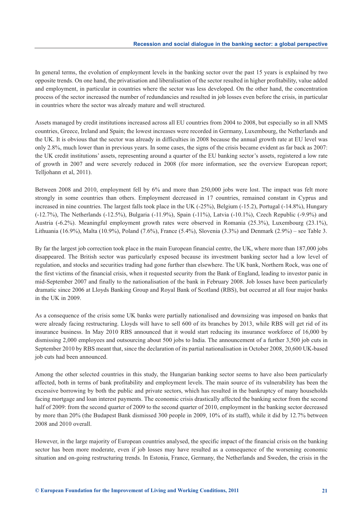In general terms, the evolution of employment levels in the banking sector over the past 15 years is explained by two opposite trends. On one hand, the privatisation and liberalisation of the sector resulted in higher profitability, value added and employment, in particular in countries where the sector was less developed. On the other hand, the concentration process of the sector increased the number of redundancies and resulted in job losses even before the crisis, in particular in countries where the sector was already mature and well structured.

Assets managed by credit institutions increased across all EU countries from 2004 to 2008, but especially so in all NMS countries, Greece, Ireland and Spain; the lowest increases were recorded in Germany, Luxembourg, the Netherlands and the UK. It is obvious that the sector was already in difficulties in 2008 because the annual growth rate at EU level was only 2.8%, much lower than in previous years. In some cases, the signs of the crisis became evident as far back as 2007: the UK credit institutions' assets, representing around a quarter of the EU banking sector's assets, registered a low rate of growth in 2007 and were severely reduced in 2008 (for more information, see the overview European report; Telljohann et al, 2011).

Between 2008 and 2010, employment fell by 6% and more than 250,000 jobs were lost. The impact was felt more strongly in some countries than others. Employment decreased in 17 countries, remained constant in Cyprus and increased in nine countries. The largest falls took place in the UK (-25%), Belgium (-15.2), Portugal (-14.8%), Hungary (-12.7%), The Netherlands (-12.5%), Bulgaria (-11.9%), Spain (-11%), Latvia (-10.1%), Czech Republic (-9.9%) and Austria (-6.2%). Meaningful employment growth rates were observed in Romania (25.3%), Luxembourg (23.1%), Lithuania (16.9%), Malta (10.9%), Poland (7.6%), France (5.4%), Slovenia (3.3%) and Denmark (2.9%) – see Table 3.

By far the largest job correction took place in the main European financial centre, the UK, where more than 187,000 jobs disappeared. The British sector was particularly exposed because its investment banking sector had a low level of regulation, and stocks and securities trading had gone further than elsewhere. The UK bank, Northern Rock, was one of the first victims of the financial crisis, when it requested security from the Bank of England, leading to investor panic in mid-September 2007 and finally to the nationalisation of the bank in February 2008. Job losses have been particularly dramatic since 2006 at Lloyds Banking Group and Royal Bank of Scotland (RBS), but occurred at all four major banks in the UK in 2009.

As a consequence of the crisis some UK banks were partially nationalised and downsizing was imposed on banks that were already facing restructuring. Lloyds will have to sell 600 of its branches by 2013, while RBS will get rid of its insurance business. In May 2010 RBS announced that it would start reducing its insurance workforce of 16,000 by dismissing 2,000 employees and outsourcing about 500 jobs to India. The announcement of a further 3,500 job cuts in September 2010 by RBS meant that, since the declaration of its partial nationalisation in October 2008, 20,600 UK-based job cuts had been announced.

Among the other selected countries in this study, the Hungarian banking sector seems to have also been particularly affected, both in terms of bank profitability and employment levels. The main source of its vulnerability has been the excessive borrowing by both the public and private sectors, which has resulted in the bankruptcy of many households facing mortgage and loan interest payments. The economic crisis drastically affected the banking sector from the second half of 2009: from the second quarter of 2009 to the second quarter of 2010, employment in the banking sector decreased by more than 20% (the Budapest Bank dismissed 300 people in 2009, 10% of its staff), while it did by 12.7% between 2008 and 2010 overall.

However, in the large majority of European countries analysed, the specific impact of the financial crisis on the banking sector has been more moderate, even if job losses may have resulted as a consequence of the worsening economic situation and on-going restructuring trends. In Estonia, France, Germany, the Netherlands and Sweden, the crisis in the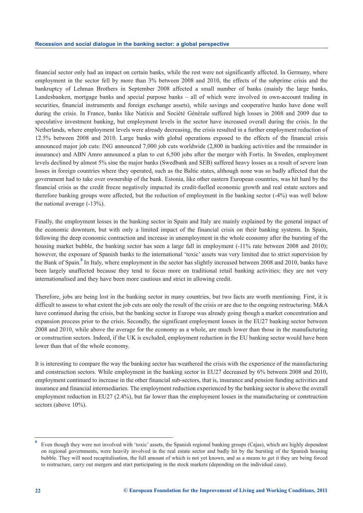financial sector only had an impact on certain banks, while the rest were not significantly affected. In Germany, where employment in the sector fell by more than 3% between 2008 and 2010, the effects of the subprime crisis and the bankruptcy of Lehman Brothers in September 2008 affected a small number of banks (mainly the large banks, Landesbanken, mortgage banks and special purpose banks – all of which were involved in own-account trading in securities, financial instruments and foreign exchange assets), while savings and cooperative banks have done well during the crisis. In France, banks like Natixis and Société Générale suffered high losses in 2008 and 2009 due to speculative investment banking, but employment levels in the sector have increased overall during the crisis. In the Netherlands, where employment levels were already decreasing, the crisis resulted in a further employment reduction of 12.5% between 2008 and 2010. Large banks with global operations exposed to the effects of the financial crisis announced major job cuts: ING announced 7,000 job cuts worldwide (2,800 in banking activities and the remainder in insurance) and ABN Amro announced a plan to cut 6,500 jobs after the merger with Fortis. In Sweden, employment levels declined by almost 5% sine the major banks (Swedbank and SEB) suffered heavy losses as a result of severe loan losses in foreign countries where they operated, such as the Baltic states, although none was so badly affected that the government had to take over ownership of the bank. Estonia, like other eastern European countries, was hit hard by the financial crisis as the credit freeze negatively impacted its credit-fuelled economic growth and real estate sectors and therefore banking groups were affected, but the reduction of employment in the banking sector (-4%) was well below the national average  $(-13\%)$ .

Finally, the employment losses in the banking sector in Spain and Italy are mainly explained by the general impact of the economic downturn, but with only a limited impact of the financial crisis on their banking systems. In Spain, following the deep economic contraction and increase in unemployment in the whole economy after the bursting of the housing market bubble, the banking sector has seen a large fall in employment  $(-11)$  rate between 2008 and 2010); however, the exposure of Spanish banks to the international 'toxic' assets was very limited due to strict supervision by the Bank of Spain.<sup>8</sup> In Italy, where employment in the sector has slightly increased between 2008 and 2010, banks have been largely unaffected because they tend to focus more on traditional retail banking activities; they are not very internationalised and they have been more cautious and strict in allowing credit.

Therefore, jobs are being lost in the banking sector in many countries, but two facts are worth mentioning. First, it is difficult to assess to what extent the job cuts are only the result of the crisis or are due to the ongoing restructuring. M&A have continued during the crisis, but the banking sector in Europe was already going though a market concentration and expansion process prior to the crisis. Secondly, the significant employment losses in the EU27 banking sector between 2008 and 2010, while above the average for the economy as a whole, are much lower than those in the manufacturing or construction sectors. Indeed, if the UK is excluded, employment reduction in the EU banking sector would have been lower than that of the whole economy.

It is interesting to compare the way the banking sector has weathered the crisis with the experience of the manufacturing and construction sectors. While employment in the banking sector in EU27 decreased by 6% between 2008 and 2010, employment continued to increase in the other financial sub-sectors, that is, insurance and pension funding activities and insurance and financial intermediaries. The employment reduction experienced by the banking sector is above the overall employment reduction in EU27 (2.4%), but far lower than the employment losses in the manufacturing or construction sectors (above 10%).

**<sup>8</sup>** Even though they were not involved with 'toxic' assets, the Spanish regional banking groups (Cajas), which are highly dependent on regional governments, were heavily involved in the real estate sector and badly hit by the bursting of the Spanish housing bubble. They will need recapitalisation, the full amount of which is not yet known, and as a means to get it they are being forced to restructure, carry out mergers and start participating in the stock markets (depending on the individual case).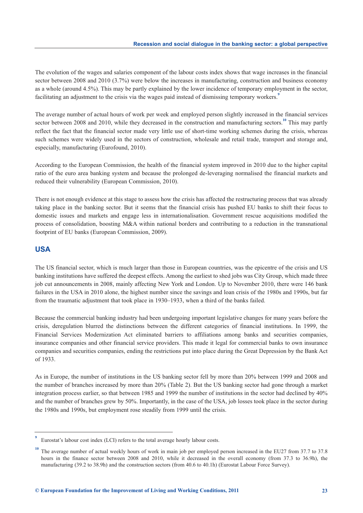The evolution of the wages and salaries component of the labour costs index shows that wage increases in the financial sector between 2008 and 2010 (3.7%) were below the increases in manufacturing, construction and business economy as a whole (around 4.5%). This may be partly explained by the lower incidence of temporary employment in the sector, facilitating an adjustment to the crisis via the wages paid instead of dismissing temporary workers.<sup>9</sup>

The average number of actual hours of work per week and employed person slightly increased in the financial services sector between 2008 and 2010, while they decreased in the construction and manufacturing sectors.<sup>10</sup> This may partly reflect the fact that the financial sector made very little use of short-time working schemes during the crisis, whereas such schemes were widely used in the sectors of construction, wholesale and retail trade, transport and storage and, especially, manufacturing (Eurofound, 2010).

According to the European Commission, the health of the financial system improved in 2010 due to the higher capital ratio of the euro area banking system and because the prolonged de-leveraging normalised the financial markets and reduced their vulnerability (European Commission, 2010).

There is not enough evidence at this stage to assess how the crisis has affected the restructuring process that was already taking place in the banking sector. But it seems that the financial crisis has pushed EU banks to shift their focus to domestic issues and markets and engage less in internationalisation. Government rescue acquisitions modified the process of consolidation, boosting M&A within national borders and contributing to a reduction in the transnational footprint of EU banks (European Commission, 2009).

### **USA**

The US financial sector, which is much larger than those in European countries, was the epicentre of the crisis and US banking institutions have suffered the deepest effects. Among the earliest to shed jobs was City Group, which made three job cut announcements in 2008, mainly affecting New York and London. Up to November 2010, there were 146 bank failures in the USA in 2010 alone, the highest number since the savings and loan crisis of the 1980s and 1990s, but far from the traumatic adjustment that took place in 1930–1933, when a third of the banks failed.

Because the commercial banking industry had been undergoing important legislative changes for many years before the crisis, deregulation blurred the distinctions between the different categories of financial institutions. In 1999, the Financial Services Modernization Act eliminated barriers to affiliations among banks and securities companies, insurance companies and other financial service providers. This made it legal for commercial banks to own insurance companies and securities companies, ending the restrictions put into place during the Great Depression by the Bank Act of 1933.

As in Europe, the number of institutions in the US banking sector fell by more than 20% between 1999 and 2008 and the number of branches increased by more than 20% (Table 2). But the US banking sector had gone through a market integration process earlier, so that between 1985 and 1999 the number of institutions in the sector had declined by 40% and the number of branches grew by 50%. Importantly, in the case of the USA, job losses took place in the sector during the 1980s and 1990s, but employment rose steadily from 1999 until the crisis.

**<sup>9</sup>** Eurostat's labour cost index (LCI) refers to the total average hourly labour costs.

<sup>&</sup>lt;sup>10</sup> The average number of actual weekly hours of work in main job per employed person increased in the EU27 from 37.7 to 37.8 hours in the finance sector between 2008 and 2010, while it decreased in the overall economy (from 37.3 to 36.9h), the manufacturing (39.2 to 38.9h) and the construction sectors (from 40.6 to 40.1h) (Eurostat Labour Force Survey).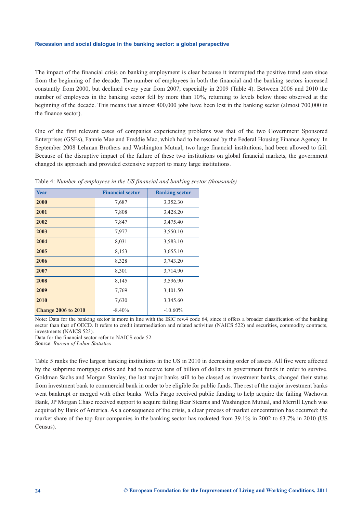The impact of the financial crisis on banking employment is clear because it interrupted the positive trend seen since from the beginning of the decade. The number of employees in both the financial and the banking sectors increased constantly from 2000, but declined every year from 2007, especially in 2009 (Table 4). Between 2006 and 2010 the number of employees in the banking sector fell by more than 10%, returning to levels below those observed at the beginning of the decade. This means that almost 400,000 jobs have been lost in the banking sector (almost 700,000 in the finance sector).

One of the first relevant cases of companies experiencing problems was that of the two Government Sponsored Enterprises (GSEs), Fannie Mae and Freddie Mac, which had to be rescued by the Federal Housing Finance Agency. In September 2008 Lehman Brothers and Washington Mutual, two large financial institutions, had been allowed to fail. Because of the disruptive impact of the failure of these two institutions on global financial markets, the government changed its approach and provided extensive support to many large institutions.

| <b>Year</b>                | <b>Financial sector</b> | <b>Banking sector</b> |
|----------------------------|-------------------------|-----------------------|
| 2000                       | 7,687                   | 3,352.30              |
| 2001                       | 7,808                   | 3,428.20              |
| 2002                       | 7,847                   | 3,475.40              |
| 2003                       | 7,977                   | 3,550.10              |
| 2004                       | 8,031                   | 3,583.10              |
| 2005                       | 8,153                   | 3,655.10              |
| 2006                       | 8,328                   | 3,743.20              |
| 2007                       | 8,301                   | 3,714.90              |
| 2008                       | 8,145                   | 3,596.90              |
| 2009                       | 7,769                   | 3,401.50              |
| 2010                       | 7,630                   | 3,345.60              |
| <b>Change 2006 to 2010</b> | $-8.40\%$               | $-10.60\%$            |

Table 4: *Number of employees in the US financial and banking sector (thousands)*

Note: Data for the banking sector is more in line with the ISIC rev.4 code 64, since it offers a broader classification of the banking sector than that of OECD. It refers to credit intermediation and related activities (NAICS 522) and securities, commodity contracts, investments (NAICS 523).

Data for the financial sector refer to NAICS code 52.

Source: *Bureau of Labor Statistics*

Table 5 ranks the five largest banking institutions in the US in 2010 in decreasing order of assets. All five were affected by the subprime mortgage crisis and had to receive tens of billion of dollars in government funds in order to survive. Goldman Sachs and Morgan Stanley, the last major banks still to be classed as investment banks, changed their status from investment bank to commercial bank in order to be eligible for public funds. The rest of the major investment banks went bankrupt or merged with other banks. Wells Fargo received public funding to help acquire the failing Wachovia Bank, JP Morgan Chase received support to acquire failing Bear Stearns and Washington Mutual, and Merrill Lynch was acquired by Bank of America. As a consequence of the crisis, a clear process of market concentration has occurred: the market share of the top four companies in the banking sector has rocketed from 39.1% in 2002 to 63.7% in 2010 (US Census).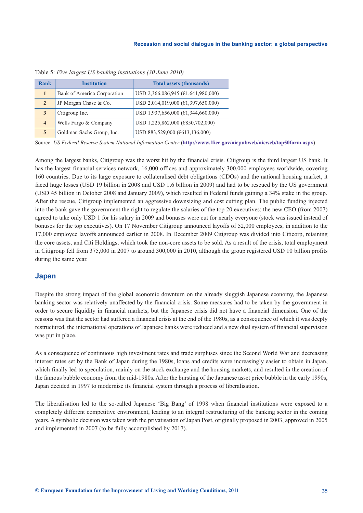| Rank                    | <b>Institution</b>          | <b>Total assets (thousands)</b>          |
|-------------------------|-----------------------------|------------------------------------------|
|                         | Bank of America Corporation | USD 2,366,086,945 ( $E1,641,980,000$ )   |
| $\overline{2}$          | JP Morgan Chase & Co.       | USD 2,014,019,000 ( $\in$ 1,397,650,000) |
| 3                       | Citigroup Inc.              | USD 1,937,656,000 ( $\in$ 1,344,660,000) |
| $\overline{\mathbf{4}}$ | Wells Fargo & Company       | USD 1,225,862,000 (€850,702,000)         |
| $\overline{5}$          | Goldman Sachs Group, Inc.   | USD 883,529,000 (€613,136,000)           |

Table 5: *Five largest US banking institutions (30 June 2010)*

Source: *US Federal Reserve System National Information Center* (**<http://www.ffiec.gov/nicpubweb/nicweb/top50form.aspx>**)

Among the largest banks, Citigroup was the worst hit by the financial crisis. Citigroup is the third largest US bank. It has the largest financial services network, 16,000 offices and approximately 300,000 employees worldwide, covering 160 countries. Due to its large exposure to collateralised debt obligations (CDOs) and the national housing market, it faced huge losses (USD 19 billion in 2008 and USD 1.6 billion in 2009) and had to be rescued by the US government (USD 45 billion in October 2008 and January 2009), which resulted in Federal funds gaining a 34% stake in the group. After the rescue, Citigroup implemented an aggressive downsizing and cost cutting plan. The public funding injected into the bank gave the government the right to regulate the salaries of the top 20 executives: the new CEO (from 2007) agreed to take only USD 1 for his salary in 2009 and bonuses were cut for nearly everyone (stock was issued instead of bonuses for the top executives). On 17 November Citigroup announced layoffs of 52,000 employees, in addition to the 17,000 employee layoffs announced earlier in 2008. In December 2009 Citigroup was divided into Citicorp, retaining the core assets, and Citi Holdings, which took the non-core assets to be sold. As a result of the crisis, total employment in Citigroup fell from 375,000 in 2007 to around 300,000 in 2010, although the group registered USD 10 billion profits during the same year.

### **Japan**

Despite the strong impact of the global economic downturn on the already sluggish Japanese economy, the Japanese banking sector was relatively unaffected by the financial crisis. Some measures had to be taken by the government in order to secure liquidity in financial markets, but the Japanese crisis did not have a financial dimension. One of the reasons was that the sector had suffered a financial crisis at the end of the 1980s, as a consequence of which it was deeply restructured, the international operations of Japanese banks were reduced and a new dual system of financial supervision was put in place.

As a consequence of continuous high investment rates and trade surpluses since the Second World War and decreasing interest rates set by the Bank of Japan during the 1980s, loans and credits were increasingly easier to obtain in Japan, which finally led to speculation, mainly on the stock exchange and the housing markets, and resulted in the creation of the famous bubble economy from the mid-1980s. After the bursting of the Japanese asset price bubble in the early 1990s, Japan decided in 1997 to modernise its financial system through a process of liberalisation.

The liberalisation led to the so-called Japanese 'Big Bang' of 1998 when financial institutions were exposed to a completely different competitive environment, leading to an integral restructuring of the banking sector in the coming years. A symbolic decision was taken with the privatisation of Japan Post, originally proposed in 2003, approved in 2005 and implemented in 2007 (to be fully accomplished by 2017).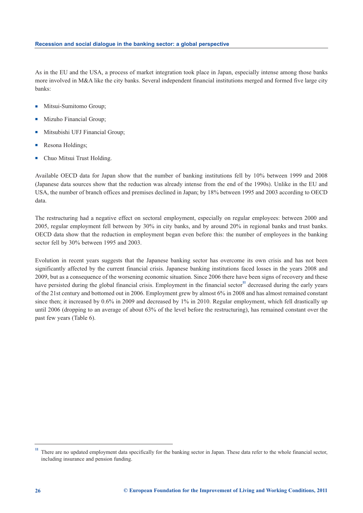As in the EU and the USA, a process of market integration took place in Japan, especially intense among those banks more involved in M&A like the city banks. Several independent financial institutions merged and formed five large city banks:

- -Mitsui-Sumitomo Group;
- -Mizuho Financial Group;
- -Mitsubishi UFJ Financial Group;
- -Resona Holdings;
- -Chuo Mitsui Trust Holding.

Available OECD data for Japan show that the number of banking institutions fell by 10% between 1999 and 2008 (Japanese data sources show that the reduction was already intense from the end of the 1990s). Unlike in the EU and USA, the number of branch offices and premises declined in Japan; by 18% between 1995 and 2003 according to OECD data.

The restructuring had a negative effect on sectoral employment, especially on regular employees: between 2000 and 2005, regular employment fell between by 30% in city banks, and by around 20% in regional banks and trust banks. OECD data show that the reduction in employment began even before this: the number of employees in the banking sector fell by 30% between 1995 and 2003.

Evolution in recent years suggests that the Japanese banking sector has overcome its own crisis and has not been significantly affected by the current financial crisis. Japanese banking institutions faced losses in the years 2008 and 2009, but as a consequence of the worsening economic situation. Since 2006 there have been signs of recovery and these have persisted during the global financial crisis. Employment in the financial sector<sup>11</sup> decreased during the early years of the 21st century and bottomed out in 2006. Employment grew by almost 6% in 2008 and has almost remained constant since then; it increased by 0.6% in 2009 and decreased by 1% in 2010. Regular employment, which fell drastically up until 2006 (dropping to an average of about 63% of the level before the restructuring), has remained constant over the past few years (Table 6).

**<sup>11</sup>** There are no updated employment data specifically for the banking sector in Japan. These data refer to the whole financial sector, including insurance and pension funding.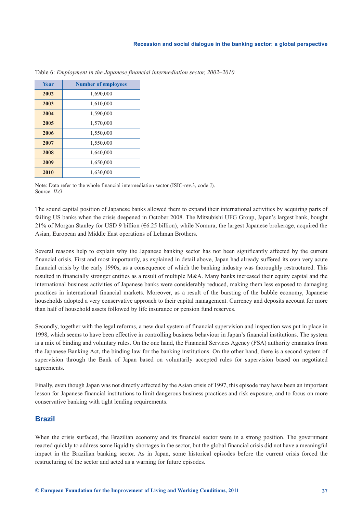| Year | <b>Number of employees</b> |
|------|----------------------------|
| 2002 | 1,690,000                  |
| 2003 | 1,610,000                  |
| 2004 | 1,590,000                  |
| 2005 | 1,570,000                  |
| 2006 | 1,550,000                  |
| 2007 | 1,550,000                  |
| 2008 | 1,640,000                  |
| 2009 | 1,650,000                  |
| 2010 | 1,630,000                  |

Table 6: *Employment in the Japanese financial intermediation sector, 2002–2010*

Note: Data refer to the whole financial intermediation sector (ISIC-rev.3, code J). Source: *ILO*

The sound capital position of Japanese banks allowed them to expand their international activities by acquiring parts of failing US banks when the crisis deepened in October 2008. The Mitsubishi UFG Group, Japan's largest bank, bought 21% of Morgan Stanley for USD 9 billion (€6.25 billion), while Nomura, the largest Japanese brokerage, acquired the Asian, European and Middle East operations of Lehman Brothers.

Several reasons help to explain why the Japanese banking sector has not been significantly affected by the current financial crisis. First and most importantly, as explained in detail above, Japan had already suffered its own very acute financial crisis by the early 1990s, as a consequence of which the banking industry was thoroughly restructured. This resulted in financially stronger entities as a result of multiple M&A. Many banks increased their equity capital and the international business activities of Japanese banks were considerably reduced, making them less exposed to damaging practices in international financial markets. Moreover, as a result of the bursting of the bubble economy, Japanese households adopted a very conservative approach to their capital management. Currency and deposits account for more than half of household assets followed by life insurance or pension fund reserves.

Secondly, together with the legal reforms, a new dual system of financial supervision and inspection was put in place in 1998, which seems to have been effective in controlling business behaviour in Japan's financial institutions. The system is a mix of binding and voluntary rules. On the one hand, the Financial Services Agency (FSA) authority emanates from the Japanese Banking Act, the binding law for the banking institutions. On the other hand, there is a second system of supervision through the Bank of Japan based on voluntarily accepted rules for supervision based on negotiated agreements.

Finally, even though Japan was not directly affected by the Asian crisis of 1997, this episode may have been an important lesson for Japanese financial institutions to limit dangerous business practices and risk exposure, and to focus on more conservative banking with tight lending requirements.

### **Brazil**

When the crisis surfaced, the Brazilian economy and its financial sector were in a strong position. The government reacted quickly to address some liquidity shortages in the sector, but the global financial crisis did not have a meaningful impact in the Brazilian banking sector. As in Japan, some historical episodes before the current crisis forced the restructuring of the sector and acted as a warning for future episodes.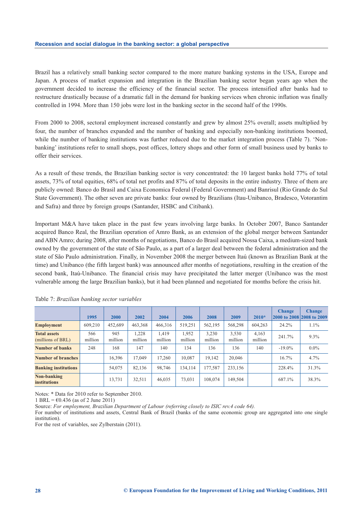Brazil has a relatively small banking sector compared to the more mature banking systems in the USA, Europe and Japan. A process of market expansion and integration in the Brazilian banking sector began years ago when the government decided to increase the efficiency of the financial sector. The process intensified after banks had to restructure drastically because of a dramatic fall in the demand for banking services when chronic inflation was finally controlled in 1994. More than 150 jobs were lost in the banking sector in the second half of the 1990s.

From 2000 to 2008, sectoral employment increased constantly and grew by almost 25% overall; assets multiplied by four, the number of branches expanded and the number of banking and especially non-banking institutions boomed, while the number of banking institutions was further reduced due to the market integration process (Table 7). 'Nonbanking' institutions refer to small shops, post offices, lottery shops and other form of small business used by banks to offer their services.

As a result of these trends, the Brazilian banking sector is very concentrated: the 10 largest banks hold 77% of total assets, 73% of total equities, 68% of total net profits and 87% of total deposits in the entire industry. Three of them are publicly owned: Banco do Brasil and Caixa Economica Federal (Federal Government) and Banrisul (Rio Grande do Sul State Government). The other seven are private banks: four owned by Brazilians (Itau-Unibanco, Bradesco, Votorantim and Safra) and three by foreign groups (Santander, HSBC and Citibank).

Important M&A have taken place in the past few years involving large banks. In October 2007, Banco Santander acquired Banco Real, the Brazilian operation of Amro Bank, as an extension of the global merger between Santander and ABN Amro; during 2008, after months of negotiations, Banco do Brasil acquired Nossa Caixa, a medium-sized bank owned by the government of the state of São Paulo, as a part of a larger deal between the federal administration and the state of São Paulo administration. Finally, in November 2008 the merger between Itaú (known as Brazilian Bank at the time) and Unibanco (the fifth largest bank) was announced after months of negotiations, resulting in the creation of the second bank, Itaú-Unibanco. The financial crisis may have precipitated the latter merger (Unibanco was the most vulnerable among the large Brazilian banks), but it had been planned and negotiated for months before the crisis hit.

|                                          | 1995           | 2000           | 2002             | 2004             | 2006             | 2008             | 2009             | $2010*$          | <b>Change</b> | <b>Change</b><br>2000 to 2008 2008 to 2009 |
|------------------------------------------|----------------|----------------|------------------|------------------|------------------|------------------|------------------|------------------|---------------|--------------------------------------------|
| <b>Employment</b>                        | 609,210        | 452,689        | 463.368          | 466,316          | 519.251          | 562,195          | 568,298          | 604.263          | 24.2%         | $1.1\%$                                    |
| <b>Total assets</b><br>(millions of BRL) | 566<br>million | 945<br>million | 1,228<br>million | 1.419<br>million | 1,952<br>million | 3,230<br>million | 3,530<br>million | 4,163<br>million | 241.7%        | $9.3\%$                                    |
| <b>Number of banks</b>                   | 248            | 168            | 147              | 140              | 134              | 136              | 136              | 140              | $-19.0\%$     | $0.0\%$                                    |
| Number of branches                       |                | 16.396         | 17.049           | 17.260           | 10.087           | 19.142           | 20,046           |                  | 16.7%         | $4.7\%$                                    |
| <b>Banking institutions</b>              |                | 54,075         | 82.136           | 98.746           | 134.114          | 177,587          | 233,156          |                  | 228.4%        | 31.3%                                      |
| Non-banking<br><b>institutions</b>       |                | 13.731         | 32.511           | 46,035           | 73.031           | 108,074          | 149,504          |                  | 687.1%        | 38.3%                                      |

|  | Table 7: Brazilian banking sector variables |  |  |  |
|--|---------------------------------------------|--|--|--|
|--|---------------------------------------------|--|--|--|

Notes: \* Data for 2010 refer to September 2010.

1 BRL =  $\epsilon$ 0.436 (as of 2 June 2011)

Source: *For employment, Brazilian Department of Labour (referring closely to ISIC rev.4 code 64).* 

For number of institutions and assets, Central Bank of Brazil (banks of the same economic group are aggregated into one single institution).

For the rest of variables, see Zylberstain (2011).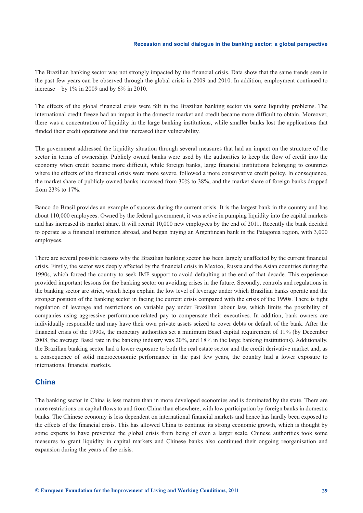The Brazilian banking sector was not strongly impacted by the financial crisis. Data show that the same trends seen in the past few years can be observed through the global crisis in 2009 and 2010. In addition, employment continued to increase – by 1% in 2009 and by 6% in 2010.

The effects of the global financial crisis were felt in the Brazilian banking sector via some liquidity problems. The international credit freeze had an impact in the domestic market and credit became more difficult to obtain. Moreover, there was a concentration of liquidity in the large banking institutions, while smaller banks lost the applications that funded their credit operations and this increased their vulnerability.

The government addressed the liquidity situation through several measures that had an impact on the structure of the sector in terms of ownership. Publicly owned banks were used by the authorities to keep the flow of credit into the economy when credit became more difficult, while foreign banks, large financial institutions belonging to countries where the effects of the financial crisis were more severe, followed a more conservative credit policy. In consequence, the market share of publicly owned banks increased from 30% to 38%, and the market share of foreign banks dropped from 23% to 17%.

Banco do Brasil provides an example of success during the current crisis. It is the largest bank in the country and has about 110,000 employees. Owned by the federal government, it was active in pumping liquidity into the capital markets and has increased its market share. It will recruit 10,000 new employees by the end of 2011. Recently the bank decided to operate as a financial institution abroad, and began buying an Argentinean bank in the Patagonia region, with 3,000 employees.

There are several possible reasons why the Brazilian banking sector has been largely unaffected by the current financial crisis. Firstly, the sector was deeply affected by the financial crisis in Mexico, Russia and the Asian countries during the 1990s, which forced the country to seek IMF support to avoid defaulting at the end of that decade. This experience provided important lessons for the banking sector on avoiding crises in the future. Secondly, controls and regulations in the banking sector are strict, which helps explain the low level of leverage under which Brazilian banks operate and the stronger position of the banking sector in facing the current crisis compared with the crisis of the 1990s. There is tight regulation of leverage and restrictions on variable pay under Brazilian labour law, which limits the possibility of companies using aggressive performance-related pay to compensate their executives. In addition, bank owners are individually responsible and may have their own private assets seized to cover debts or default of the bank. After the financial crisis of the 1990s, the monetary authorities set a minimum Basel capital requirement of 11% (by December 2008, the average Basel rate in the banking industry was 20%, and 18% in the large banking institutions). Additionally, the Brazilian banking sector had a lower exposure to both the real estate sector and the credit derivative market and, as a consequence of solid macroeconomic performance in the past few years, the country had a lower exposure to international financial markets.

### **China**

The banking sector in China is less mature than in more developed economies and is dominated by the state. There are more restrictions on capital flows to and from China than elsewhere, with low participation by foreign banks in domestic banks. The Chinese economy is less dependent on international financial markets and hence has hardly been exposed to the effects of the financial crisis. This has allowed China to continue its strong economic growth, which is thought by some experts to have prevented the global crisis from being of even a larger scale. Chinese authorities took some measures to grant liquidity in capital markets and Chinese banks also continued their ongoing reorganisation and expansion during the years of the crisis.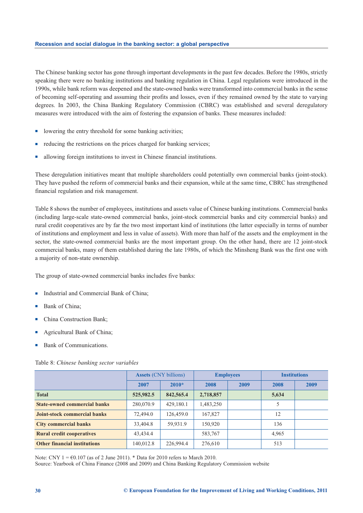The Chinese banking sector has gone through important developments in the past few decades. Before the 1980s, strictly speaking there were no banking institutions and banking regulation in China. Legal regulations were introduced in the 1990s, while bank reform was deepened and the state-owned banks were transformed into commercial banks in the sense of becoming self-operating and assuming their profits and losses, even if they remained owned by the state to varying degrees. In 2003, the China Banking Regulatory Commission (CBRC) was established and several deregulatory measures were introduced with the aim of fostering the expansion of banks. These measures included:

- lowering the entry threshold for some banking activities;
- reducing the restrictions on the prices charged for banking services;
- allowing foreign institutions to invest in Chinese financial institutions.

These deregulation initiatives meant that multiple shareholders could potentially own commercial banks (joint-stock). They have pushed the reform of commercial banks and their expansion, while at the same time, CBRC has strengthened financial regulation and risk management.

Table 8 shows the number of employees, institutions and assets value of Chinese banking institutions. Commercial banks (including large-scale state-owned commercial banks, joint-stock commercial banks and city commercial banks) and rural credit cooperatives are by far the two most important kind of institutions (the latter especially in terms of number of institutions and employment and less in value of assets). With more than half of the assets and the employment in the sector, the state-owned commercial banks are the most important group. On the other hand, there are 12 joint-stock commercial banks, many of them established during the late 1980s, of which the Minsheng Bank was the first one with a majority of non-state ownership.

The group of state-owned commercial banks includes five banks:

- -Industrial and Commercial Bank of China;
- -Bank of China;
- -China Construction Bank;
- -Agricultural Bank of China;
- -Bank of Communications.

#### Table 8: *Chinese banking sector variables*

|                                     | <b>Assets</b> (CNY billions) |           | <b>Employees</b> |      | <b>Institutions</b> |      |
|-------------------------------------|------------------------------|-----------|------------------|------|---------------------|------|
|                                     | 2007                         | $2010*$   | 2008             | 2009 | 2008                | 2009 |
| <b>Total</b>                        | 525,982.5                    | 842,565.4 | 2,718,857        |      | 5,634               |      |
| <b>State-owned commercial banks</b> | 280,070.9                    | 429,180.1 | 1,483,250        |      | 5                   |      |
| <b>Joint-stock commercial banks</b> | 72,494.0                     | 126,459.0 | 167,827          |      | 12                  |      |
| <b>City commercial banks</b>        | 33,404.8                     | 59,931.9  | 150,920          |      | 136                 |      |
| <b>Rural credit cooperatives</b>    | 43,434.4                     |           | 583,767          |      | 4,965               |      |
| <b>Other financial institutions</b> | 140,012.8                    | 226,994.4 | 276,610          |      | 513                 |      |

Note: CNY  $1 = 60.107$  (as of 2 June 2011). \* Data for 2010 refers to March 2010.

Source: Yearbook of China Finance (2008 and 2009) and China Banking Regulatory Commission website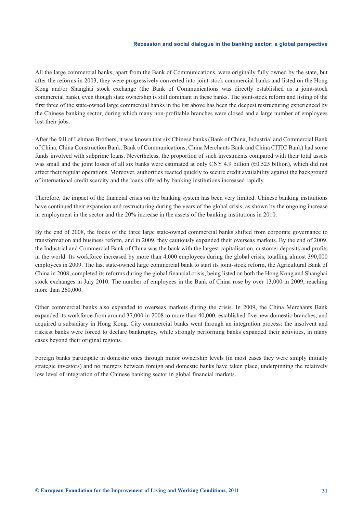All the large commercial banks, apart from the Bank of Communications, were originally fully owned by the state, but after the reforms in 2003, they were progressively converted into joint-stock commercial banks and listed on the Hong Kong and/or Shanghai stock exchange (the Bank of Communications was directly established as a joint-stock commercial bank), even though state ownership is still dominant in these banks. The joint-stock reform and listing of the first three of the state-owned large commercial banks in the list above has been the deepest restructuring experienced by the Chinese banking sector, during which many non-profitable branches were closed and a large number of employees lost their jobs.

After the fall of Lehman Brothers, it was known that six Chinese banks (Bank of China, Industrial and Commercial Bank of China, China Construction Bank, Bank of Communications, China Merchants Bank and China CITIC Bank) had some funds involved with subprime loans. Nevertheless, the proportion of such investments compared with their total assets was small and the joint losses of all six banks were estimated at only CNY 4.9 billion ( $60.525$  billion), which did not affect their regular operations. Moreover, authorities reacted quickly to secure credit availability against the background of international credit scarcity and the loans offered by banking institutions increased rapidly.

Therefore, the impact of the financial crisis on the banking system has been very limited. Chinese banking institutions have continued their expansion and restructuring during the years of the global crisis, as shown by the ongoing increase in employment in the sector and the 20% increase in the assets of the banking institutions in 2010.

By the end of 2008, the focus of the three large state-owned commercial banks shifted from corporate governance to transformation and business reform, and in 2009, they cautiously expanded their overseas markets. By the end of 2009, the Industrial and Commercial Bank of China was the bank with the largest capitalisation, customer deposits and profits in the world. Its workforce increased by more than 4,000 employees during the global crisis, totalling almost 390,000 employees in 2009. The last state-owned large commercial bank to start its joint-stock reform, the Agricultural Bank of China in 2008, completed its reforms during the global financial crisis, being listed on both the Hong Kong and Shanghai stock exchanges in July 2010. The number of employees in the Bank of China rose by over 13,000 in 2009, reaching more than 260,000.

Other commercial banks also expanded to overseas markets during the crisis. In 2009, the China Merchants Bank expanded its workforce from around 37,000 in 2008 to more than 40,000, established five new domestic branches, and acquired a subsidiary in Hong Kong. City commercial banks went through an integration process: the insolvent and riskiest banks were forced to declare bankruptcy, while strongly performing banks expanded their activities, in many cases beyond their original regions.

Foreign banks participate in domestic ones through minor ownership levels (in most cases they were simply initially strategic investors) and no mergers between foreign and domestic banks have taken place, underpinning the relatively low level of integration of the Chinese banking sector in global financial markets.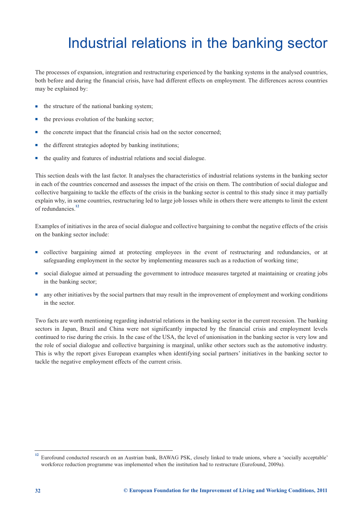## <span id="page-34-0"></span>Industrial relations in the banking sector

The processes of expansion, integration and restructuring experienced by the banking systems in the analysed countries, both before and during the financial crisis, have had different effects on employment. The differences across countries may be explained by:

- the structure of the national banking system;
- the previous evolution of the banking sector;
- the concrete impact that the financial crisis had on the sector concerned;
- the different strategies adopted by banking institutions;
- the quality and features of industrial relations and social dialogue.

This section deals with the last factor. It analyses the characteristics of industrial relations systems in the banking sector in each of the countries concerned and assesses the impact of the crisis on them. The contribution of social dialogue and collective bargaining to tackle the effects of the crisis in the banking sector is central to this study since it may partially explain why, in some countries, restructuring led to large job losses while in others there were attempts to limit the extent of redundancies.**<sup>12</sup>**

Examples of initiatives in the area of social dialogue and collective bargaining to combat the negative effects of the crisis on the banking sector include:

- collective bargaining aimed at protecting employees in the event of restructuring and redundancies, or at safeguarding employment in the sector by implementing measures such as a reduction of working time;
- social dialogue aimed at persuading the government to introduce measures targeted at maintaining or creating jobs in the banking sector;
- any other initiatives by the social partners that may result in the improvement of employment and working conditions in the sector.

Two facts are worth mentioning regarding industrial relations in the banking sector in the current recession. The banking sectors in Japan, Brazil and China were not significantly impacted by the financial crisis and employment levels continued to rise during the crisis. In the case of the USA, the level of unionisation in the banking sector is very low and the role of social dialogue and collective bargaining is marginal, unlike other sectors such as the automotive industry. This is why the report gives European examples when identifying social partners' initiatives in the banking sector to tackle the negative employment effects of the current crisis.

**<sup>12</sup>** Eurofound conducted research on an Austrian bank, BAWAG PSK, closely linked to trade unions, where a 'socially acceptable' workforce reduction programme was implemented when the institution had to restructure (Eurofound, 2009a).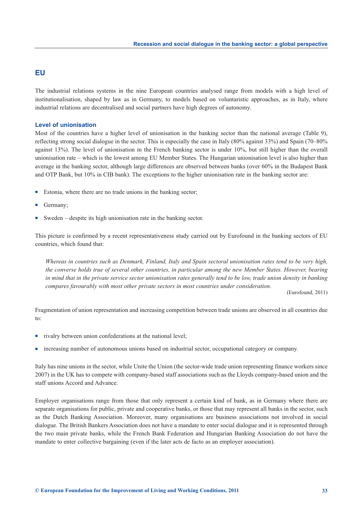### **EU**

The industrial relations systems in the nine European countries analysed range from models with a high level of institutionalisation, shaped by law as in Germany, to models based on voluntaristic approaches, as in Italy, where industrial relations are decentralised and social partners have high degrees of autonomy.

#### **Level of unionisation**

Most of the countries have a higher level of unionisation in the banking sector than the national average (Table 9), reflecting strong social dialogue in the sector. This is especially the case in Italy (80% against 33%) and Spain (70–80% against 13%). The level of unionisation in the French banking sector is under 10%, but still higher than the overall unionisation rate – which is the lowest among EU Member States. The Hungarian unionisation level is also higher than average in the banking sector, although large differences are observed between banks (over 60% in the Budapest Bank and OTP Bank, but 10% in CIB bank). The exceptions to the higher unionisation rate in the banking sector are:

- -Estonia, where there are no trade unions in the banking sector;
- -Germany;
- -Sweden – despite its high unionisation rate in the banking sector.

This picture is confirmed by a recent representativeness study carried out by Eurofound in the banking sectors of EU countries, which found that:

*Whereas in countries such as Denmark, Finland, Italy and Spain sectoral unionisation rates tend to be very high, the converse holds true of several other countries, in particular among the new Member States. However, bearing in mind that in the private service sector unionisation rates generally tend to be low, trade union density in banking compares favourably with most other private sectors in most countries under consideration.*

(Eurofound, 2011)

Fragmentation of union representation and increasing competition between trade unions are observed in all countries due to:

- rivalry between union confederations at the national level;
- increasing number of autonomous unions based on industrial sector, occupational category or company.

Italy has nine unions in the sector, while Unite the Union (the sector-wide trade union representing finance workers since 2007) in the UK has to compete with company-based staff associations such as the Lloyds company-based union and the staff unions Accord and Advance.

Employer organisations range from those that only represent a certain kind of bank, as in Germany where there are separate organisations for public, private and cooperative banks, or those that may represent all banks in the sector, such as the Dutch Banking Association. Moreover, many organisations are business associations not involved in social dialogue. The British Bankers Association does not have a mandate to enter social dialogue and it is represented through the two main private banks, while the French Bank Federation and Hungarian Banking Association do not have the mandate to enter collective bargaining (even if the later acts de facto as an employer association).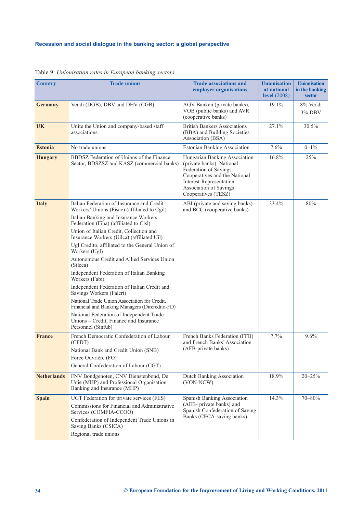| <b>Country</b>     | <b>Trade unions</b>                                                                                                                                                                                                                                                                                                                                                                                                                                                                                                                                                                                                                                                                                                                                            | <b>Trade associations and</b><br>employer organisations                                                                                                                                          | <b>Unionisation</b><br>at national<br>level $(2008)$ | <b>Unionisation</b><br>in the banking<br><b>sector</b> |
|--------------------|----------------------------------------------------------------------------------------------------------------------------------------------------------------------------------------------------------------------------------------------------------------------------------------------------------------------------------------------------------------------------------------------------------------------------------------------------------------------------------------------------------------------------------------------------------------------------------------------------------------------------------------------------------------------------------------------------------------------------------------------------------------|--------------------------------------------------------------------------------------------------------------------------------------------------------------------------------------------------|------------------------------------------------------|--------------------------------------------------------|
| <b>Germany</b>     | Ver.di (DGB), DBV and DHV (CGB)                                                                                                                                                                                                                                                                                                                                                                                                                                                                                                                                                                                                                                                                                                                                | AGV Banken (private banks),<br>VOB (public banks) and AVR<br>(cooperative banks)                                                                                                                 | 19.1%                                                | 8% Ver.di<br>3% DBV                                    |
| <b>UK</b>          | Unite the Union and company-based staff<br>associations                                                                                                                                                                                                                                                                                                                                                                                                                                                                                                                                                                                                                                                                                                        | <b>British Bankers Associations</b><br>(BBA) and Building Societies<br>Association (BSA)                                                                                                         | 27.1%                                                | 30.5%                                                  |
| <b>Estonia</b>     | No trade unions                                                                                                                                                                                                                                                                                                                                                                                                                                                                                                                                                                                                                                                                                                                                                | <b>Estonian Banking Association</b>                                                                                                                                                              | 7.6%                                                 | $0 - 1\%$                                              |
| <b>Hungary</b>     | BBDSZ Federation of Unions of the Finance<br>Sector, BDSZSZ and KASZ (commercial banks)                                                                                                                                                                                                                                                                                                                                                                                                                                                                                                                                                                                                                                                                        | Hungarian Banking Association<br>(private banks), National<br>Federation of Savings<br>Cooperatives and the National<br>Interest-Representation<br>Association of Savings<br>Cooperatives (TESZ) | 16.8%                                                | 25%                                                    |
| <b>Italy</b>       | Italian Federation of Insurance and Credit<br>Workers' Unions (Fisac) (affiliated to Cgil)<br>Italian Banking and Insurance Workers<br>Federation (Fiba) (affiliated to Cisl)<br>Union of Italian Credit, Collection and<br>Insurance Workers (Uilca) (affiliated Uil)<br>Ugl Credito, affiliated to the General Union of<br>Workers (Ugl)<br>Autonomous Credit and Allied Services Union<br>(Silcea)<br>Independent Federation of Italian Banking<br>Workers (Fabi)<br>Independent Federation of Italian Credit and<br>Savings Workers (Falcri)<br>National Trade Union Association for Credit,<br>Financial and Banking Managers (Dircredito-FD)<br>National Federation of Independent Trade<br>Unions - Credit, Finance and Insurance<br>Personnel (Sinfub) | ABI (private and saving banks)<br>and BCC (cooperative banks)                                                                                                                                    | 33.4%                                                | 80%                                                    |
| <b>France</b>      | French Democratic Confederation of Labour<br>(CFDT)<br>National Bank and Credit Union (SNB)<br>Force Ouvrière (FO)<br>General Confederation of Labour (CGT)                                                                                                                                                                                                                                                                                                                                                                                                                                                                                                                                                                                                    | French Banks Federation (FFB)<br>and French Banks' Association<br>(AFB-private banks)                                                                                                            | 7.7%                                                 | 9.6%                                                   |
| <b>Netherlands</b> | FNV Bondgenoten, CNV Dienstenbond, De<br>Unie (MHP) and Professional Organisation<br>Banking and Insurance (MHP)                                                                                                                                                                                                                                                                                                                                                                                                                                                                                                                                                                                                                                               | Dutch Banking Association<br>(VON-NCW)                                                                                                                                                           | 18.9%                                                | $20 - 25\%$                                            |
| <b>Spain</b>       | UGT Federation for private services (FES)<br>Commissions for Financial and Administrative<br>Services (COMFIA-CCOO)<br>Confederation of Independent Trade Unions in<br>Saving Banks (CSICA)<br>Regional trade unions                                                                                                                                                                                                                                                                                                                                                                                                                                                                                                                                           | Spanish Banking Association<br>(AEB- private banks) and<br>Spanish Confederation of Saving<br>Banks (CECA-saving banks)                                                                          | 14.3%                                                | 70-80%                                                 |

Table 9: *Unionisation rates in European banking sectors*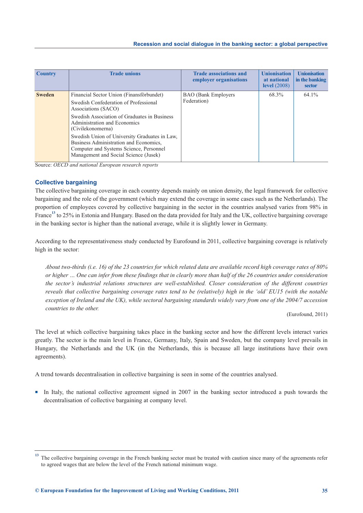| <b>Country</b> | <b>Trade unions</b>                                                                                                                                                                                                                                                                                                                                                                          | <b>Trade associations and</b><br>employer organisations | <b>Unionisation</b><br>at national<br>level $(2008)$ | <b>Unionisation</b><br>in the banking<br>sector |
|----------------|----------------------------------------------------------------------------------------------------------------------------------------------------------------------------------------------------------------------------------------------------------------------------------------------------------------------------------------------------------------------------------------------|---------------------------------------------------------|------------------------------------------------------|-------------------------------------------------|
| <b>Sweden</b>  | Financial Sector Union (Finansförbundet)<br>Swedish Confederation of Professional<br>Associations (SACO)<br>Swedish Association of Graduates in Business<br>Administration and Economics<br>(Civilekonomerna)<br>Swedish Union of University Graduates in Law,<br>Business Administration and Economics,<br>Computer and Systems Science, Personnel<br>Management and Social Science (Jusek) | <b>BAO</b> (Bank Employers)<br>Federation)              | 68.3%                                                | $64.1\%$                                        |

Source: *OECD and national European research reports*

#### **Collective bargaining**

The collective bargaining coverage in each country depends mainly on union density, the legal framework for collective bargaining and the role of the government (which may extend the coverage in some cases such as the Netherlands). The proportion of employees covered by collective bargaining in the sector in the countries analysed varies from 98% in France<sup>13</sup> to 25% in Estonia and Hungary. Based on the data provided for Italy and the UK, collective bargaining coverage in the banking sector is higher than the national average, while it is slightly lower in Germany.

According to the representativeness study conducted by Eurofound in 2011, collective bargaining coverage is relatively high in the sector:

*About two-thirds (i.e. 16) of the 23 countries for which related data are available record high coverage rates of 80% or higher … One can infer from these findings that in clearly more than half of the 26 countries under consideration the sector's industrial relations structures are well-established. Closer consideration of the different countries reveals that collective bargaining coverage rates tend to be (relatively) high in the 'old' EU15 (with the notable exception of Ireland and the UK), while sectoral bargaining standards widely vary from one of the 2004/7 accession countries to the other.*

(Eurofound, 2011)

The level at which collective bargaining takes place in the banking sector and how the different levels interact varies greatly. The sector is the main level in France, Germany, Italy, Spain and Sweden, but the company level prevails in Hungary, the Netherlands and the UK (in the Netherlands, this is because all large institutions have their own agreements).

A trend towards decentralisation in collective bargaining is seen in some of the countries analysed.

In Italy, the national collective agreement signed in 2007 in the banking sector introduced a push towards the decentralisation of collective bargaining at company level.

**<sup>13</sup>** The collective bargaining coverage in the French banking sector must be treated with caution since many of the agreements refer to agreed wages that are below the level of the French national minimum wage.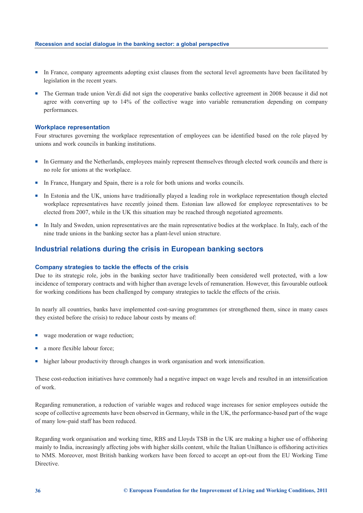- In France, company agreements adopting exist clauses from the sectoral level agreements have been facilitated by legislation in the recent years.
- The German trade union Ver.di did not sign the cooperative banks collective agreement in 2008 because it did not agree with converting up to 14% of the collective wage into variable remuneration depending on company performances.

#### **Workplace representation**

Four structures governing the workplace representation of employees can be identified based on the role played by unions and work councils in banking institutions.

- In Germany and the Netherlands, employees mainly represent themselves through elected work councils and there is no role for unions at the workplace.
- In France, Hungary and Spain, there is a role for both unions and works councils.
- In Estonia and the UK, unions have traditionally played a leading role in workplace representation though elected workplace representatives have recently joined them. Estonian law allowed for employee representatives to be elected from 2007, while in the UK this situation may be reached through negotiated agreements.
- In Italy and Sweden, union representatives are the main representative bodies at the workplace. In Italy, each of the nine trade unions in the banking sector has a plant-level union structure.

### **Industrial relations during the crisis in European banking sectors**

#### **Company strategies to tackle the effects of the crisis**

Due to its strategic role, jobs in the banking sector have traditionally been considered well protected, with a low incidence of temporary contracts and with higher than average levels of remuneration. However, this favourable outlook for working conditions has been challenged by company strategies to tackle the effects of the crisis.

In nearly all countries, banks have implemented cost-saving programmes (or strengthened them, since in many cases they existed before the crisis) to reduce labour costs by means of:

- wage moderation or wage reduction;
- a more flexible labour force;
- higher labour productivity through changes in work organisation and work intensification.

These cost-reduction initiatives have commonly had a negative impact on wage levels and resulted in an intensification of work.

Regarding remuneration, a reduction of variable wages and reduced wage increases for senior employees outside the scope of collective agreements have been observed in Germany, while in the UK, the performance-based part of the wage of many low-paid staff has been reduced.

Regarding work organisation and working time, RBS and Lloyds TSB in the UK are making a higher use of offshoring mainly to India, increasingly affecting jobs with higher skills content, while the Italian UniBanco is offshoring activities to NMS. Moreover, most British banking workers have been forced to accept an opt-out from the EU Working Time Directive.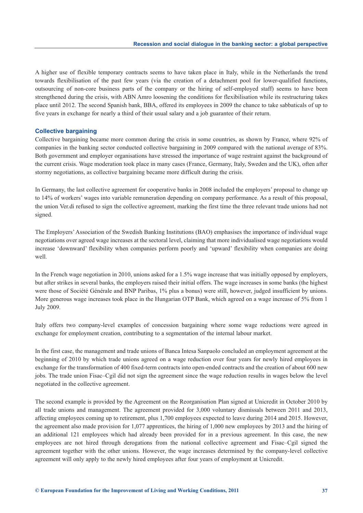A higher use of flexible temporary contracts seems to have taken place in Italy, while in the Netherlands the trend towards flexibilisation of the past few years (via the creation of a detachment pool for lower-qualified functions, outsourcing of non-core business parts of the company or the hiring of self-employed staff) seems to have been strengthened during the crisis, with ABN Amro loosening the conditions for flexibilisation while its restructuring takes place until 2012. The second Spanish bank, BBA, offered its employees in 2009 the chance to take sabbaticals of up to five years in exchange for nearly a third of their usual salary and a job guarantee of their return.

#### **Collective bargaining**

Collective bargaining became more common during the crisis in some countries, as shown by France, where 92% of companies in the banking sector conducted collective bargaining in 2009 compared with the national average of 83%. Both government and employer organisations have stressed the importance of wage restraint against the background of the current crisis. Wage moderation took place in many cases (France, Germany, Italy, Sweden and the UK), often after stormy negotiations, as collective bargaining became more difficult during the crisis.

In Germany, the last collective agreement for cooperative banks in 2008 included the employers' proposal to change up to 14% of workers' wages into variable remuneration depending on company performance. As a result of this proposal, the union Ver.di refused to sign the collective agreement, marking the first time the three relevant trade unions had not signed.

The Employers' Association of the Swedish Banking Institutions (BAO) emphasises the importance of individual wage negotiations over agreed wage increases at the sectoral level, claiming that more individualised wage negotiations would increase 'downward' flexibility when companies perform poorly and 'upward' flexibility when companies are doing well.

In the French wage negotiation in 2010, unions asked for a 1.5% wage increase that was initially opposed by employers, but after strikes in several banks, the employers raised their initial offers. The wage increases in some banks (the highest were those of Société Générale and BNP Paribas, 1% plus a bonus) were still, however, judged insufficient by unions. More generous wage increases took place in the Hungarian OTP Bank, which agreed on a wage increase of 5% from 1 July 2009.

Italy offers two company-level examples of concession bargaining where some wage reductions were agreed in exchange for employment creation, contributing to a segmentation of the internal labour market.

In the first case, the management and trade unions of Banca Intesa Sanpaolo concluded an employment agreement at the beginning of 2010 by which trade unions agreed on a wage reduction over four years for newly hired employees in exchange for the transformation of 400 fixed-term contracts into open-ended contracts and the creation of about 600 new jobs. The trade union Fisac–Cgil did not sign the agreement since the wage reduction results in wages below the level negotiated in the collective agreement.

The second example is provided by the Agreement on the Reorganisation Plan signed at Unicredit in October 2010 by all trade unions and management. The agreement provided for 3,000 voluntary dismissals between 2011 and 2013, affecting employees coming up to retirement, plus 1,700 employees expected to leave during 2014 and 2015. However, the agreement also made provision for 1,077 apprentices, the hiring of 1,000 new employees by 2013 and the hiring of an additional 121 employees which had already been provided for in a previous agreement. In this case, the new employees are not hired through derogations from the national collective agreement and Fisac–Cgil signed the agreement together with the other unions. However, the wage increases determined by the company-level collective agreement will only apply to the newly hired employees after four years of employment at Unicredit.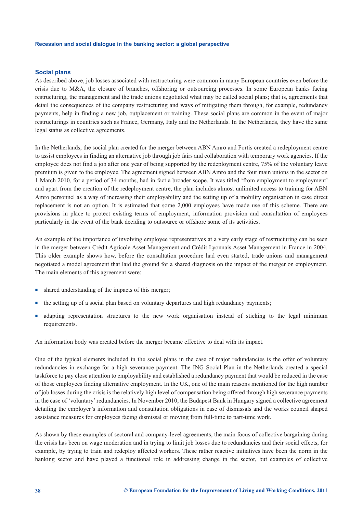#### **Social plans**

As described above, job losses associated with restructuring were common in many European countries even before the crisis due to M&A, the closure of branches, offshoring or outsourcing processes. In some European banks facing restructuring, the management and the trade unions negotiated what may be called social plans; that is, agreements that detail the consequences of the company restructuring and ways of mitigating them through, for example, redundancy payments, help in finding a new job, outplacement or training. These social plans are common in the event of major restructurings in countries such as France, Germany, Italy and the Netherlands. In the Netherlands, they have the same legal status as collective agreements.

In the Netherlands, the social plan created for the merger between ABN Amro and Fortis created a redeployment centre to assist employees in finding an alternative job through job fairs and collaboration with temporary work agencies. If the employee does not find a job after one year of being supported by the redeployment centre, 75% of the voluntary leave premium is given to the employee. The agreement signed between ABN Amro and the four main unions in the sector on 1 March 2010, for a period of 34 months, had in fact a broader scope. It was titled 'from employment to employment' and apart from the creation of the redeployment centre, the plan includes almost unlimited access to training for ABN Amro personnel as a way of increasing their employability and the setting up of a mobility organisation in case direct replacement is not an option. It is estimated that some 2,000 employees have made use of this scheme. There are provisions in place to protect existing terms of employment, information provision and consultation of employees particularly in the event of the bank deciding to outsource or offshore some of its activities.

An example of the importance of involving employee representatives at a very early stage of restructuring can be seen in the merger between Crédit Agricole Asset Management and Crédit Lyonnais Asset Management in France in 2004. This older example shows how, before the consultation procedure had even started, trade unions and management negotiated a model agreement that laid the ground for a shared diagnosis on the impact of the merger on employment. The main elements of this agreement were:

- shared understanding of the impacts of this merger;
- the setting up of a social plan based on voluntary departures and high redundancy payments;
- adapting representation structures to the new work organisation instead of sticking to the legal minimum requirements.

An information body was created before the merger became effective to deal with its impact.

One of the typical elements included in the social plans in the case of major redundancies is the offer of voluntary redundancies in exchange for a high severance payment. The ING Social Plan in the Netherlands created a special taskforce to pay close attention to employability and established a redundancy payment that would be reduced in the case of those employees finding alternative employment. In the UK, one of the main reasons mentioned for the high number of job losses during the crisis is the relatively high level of compensation being offered through high severance payments in the case of 'voluntary' redundancies. In November 2010, the Budapest Bank in Hungary signed a collective agreement detailing the employer's information and consultation obligations in case of dismissals and the works council shaped assistance measures for employees facing dismissal or moving from full-time to part-time work.

As shown by these examples of sectoral and company-level agreements, the main focus of collective bargaining during the crisis has been on wage moderation and in trying to limit job losses due to redundancies and their social effects, for example, by trying to train and redeploy affected workers. These rather reactive initiatives have been the norm in the banking sector and have played a functional role in addressing change in the sector, but examples of collective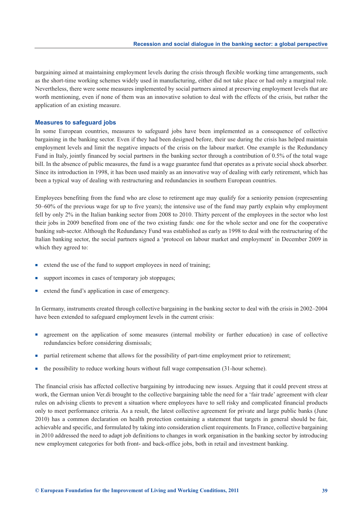bargaining aimed at maintaining employment levels during the crisis through flexible working time arrangements, such as the short-time working schemes widely used in manufacturing, either did not take place or had only a marginal role. Nevertheless, there were some measures implemented by social partners aimed at preserving employment levels that are worth mentioning, even if none of them was an innovative solution to deal with the effects of the crisis, but rather the application of an existing measure.

#### **Measures to safeguard jobs**

In some European countries, measures to safeguard jobs have been implemented as a consequence of collective bargaining in the banking sector. Even if they had been designed before, their use during the crisis has helped maintain employment levels and limit the negative impacts of the crisis on the labour market. One example is the Redundancy Fund in Italy, jointly financed by social partners in the banking sector through a contribution of 0.5% of the total wage bill. In the absence of public measures, the fund is a wage guarantee fund that operates as a private social shock absorber. Since its introduction in 1998, it has been used mainly as an innovative way of dealing with early retirement, which has been a typical way of dealing with restructuring and redundancies in southern European countries.

Employees benefiting from the fund who are close to retirement age may qualify for a seniority pension (representing 50–60% of the previous wage for up to five years); the intensive use of the fund may partly explain why employment fell by only 2% in the Italian banking sector from 2008 to 2010. Thirty percent of the employees in the sector who lost their jobs in 2009 benefited from one of the two existing funds: one for the whole sector and one for the cooperative banking sub-sector. Although the Redundancy Fund was established as early as 1998 to deal with the restructuring of the Italian banking sector, the social partners signed a 'protocol on labour market and employment' in December 2009 in which they agreed to:

- extend the use of the fund to support employees in need of training;
- support incomes in cases of temporary job stoppages;
- extend the fund's application in case of emergency.

In Germany, instruments created through collective bargaining in the banking sector to deal with the crisis in 2002–2004 have been extended to safeguard employment levels in the current crisis:

- agreement on the application of some measures (internal mobility or further education) in case of collective redundancies before considering dismissals;
- partial retirement scheme that allows for the possibility of part-time employment prior to retirement;
- the possibility to reduce working hours without full wage compensation (31-hour scheme).

The financial crisis has affected collective bargaining by introducing new issues. Arguing that it could prevent stress at work, the German union Ver.di brought to the collective bargaining table the need for a 'fair trade' agreement with clear rules on advising clients to prevent a situation where employees have to sell risky and complicated financial products only to meet performance criteria. As a result, the latest collective agreement for private and large public banks (June 2010) has a common declaration on health protection containing a statement that targets in general should be fair, achievable and specific, and formulated by taking into consideration client requirements. In France, collective bargaining in 2010 addressed the need to adapt job definitions to changes in work organisation in the banking sector by introducing new employment categories for both front- and back-office jobs, both in retail and investment banking.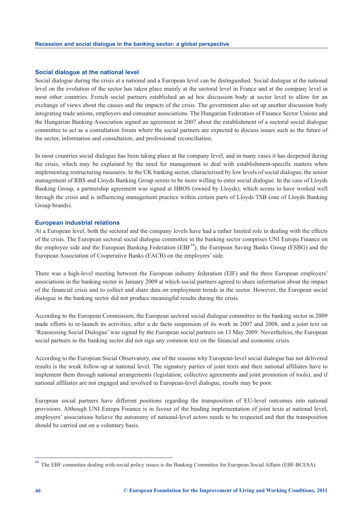#### **Social dialogue at the national level**

Social dialogue during the crisis at a national and a European level can be distinguished. Social dialogue at the national level on the evolution of the sector has taken place mainly at the sectoral level in France and at the company level in most other countries. French social partners established an ad hoc discussion body at sector level to allow for an exchange of views about the causes and the impacts of the crisis. The government also set up another discussion body integrating trade unions, employers and consumer associations. The Hungarian Federation of Finance Sector Unions and the Hungarian Banking Association signed an agreement in 2007 about the establishment of a sectoral social dialogue committee to act as a consultation forum where the social partners are expected to discuss issues such as the future of the sector, information and consultation, and professional reconciliation.

In most countries social dialogue has been taking place at the company level, and in many cases it has deepened during the crisis, which may be explained by the need for management to deal with establishment-specific matters when implementing restructuring measures. In the UK banking sector, characterised by low levels of social dialogue, the senior management of RBS and Lloyds Banking Group seems to be more willing to enter social dialogue. In the case of Lloyds Banking Group, a partnership agreement was signed at HBOS (owned by Lloyds), which seems to have worked well through the crisis and is influencing management practice within certain parts of Lloyds TSB (one of Lloyds Banking Group brands).

#### **European industrial relations**

At a European level, both the sectoral and the company levels have had a rather limited role in dealing with the effects of the crisis. The European sectoral social dialogue committee in the banking sector comprises UNI Europa Finance on the employee side and the European Banking Federation (EBF**<sup>14</sup>**), the European Saving Banks Group (ESBG) and the European Association of Cooperative Banks (EACB) on the employers' side.

There was a high-level meeting between the European industry federation (EIF) and the three European employers' associations in the banking sector in January 2009 at which social partners agreed to share information about the impact of the financial crisis and to collect and share data on employment trends in the sector. However, the European social dialogue in the banking sector did not produce meaningful results during the crisis.

According to the European Commission, the European sectoral social dialogue committee in the banking sector in 2009 made efforts to re-launch its activities, after a de facto suspension of its work in 2007 and 2008, and a joint text on 'Reassessing Social Dialogue' was signed by the European social partners on 13 May 2009. Nevertheless, the European social partners in the banking sector did not sign any common text on the financial and economic crisis.

According to the European Social Observatory, one of the reasons why European-level social dialogue has not delivered results is the weak follow-up at national level. The signatory parties of joint texts and their national affiliates have to implement them through national arrangements (legislation, collective agreements and joint promotion of tools), and if national affiliates are not engaged and involved in European-level dialogue, results may be poor.

European social partners have different positions regarding the transposition of EU-level outcomes into national provisions. Although UNI Europa Finance is in favour of the binding implementation of joint texts at national level, employers' associations believe the autonomy of national-level actors needs to be respected and that the transposition should be carried out on a voluntary basis.

<sup>&</sup>lt;sup>14</sup> The EBF committee dealing with social policy issues is the Banking Committee for European Social Affairs (EBF-BCESA).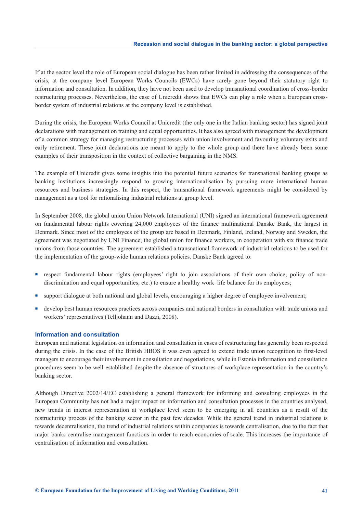If at the sector level the role of European social dialogue has been rather limited in addressing the consequences of the crisis, at the company level European Works Councils (EWCs) have rarely gone beyond their statutory right to information and consultation. In addition, they have not been used to develop transnational coordination of cross-border restructuring processes. Nevertheless, the case of Unicredit shows that EWCs can play a role when a European crossborder system of industrial relations at the company level is established.

During the crisis, the European Works Council at Unicredit (the only one in the Italian banking sector) has signed joint declarations with management on training and equal opportunities. It has also agreed with management the development of a common strategy for managing restructuring processes with union involvement and favouring voluntary exits and early retirement. These joint declarations are meant to apply to the whole group and there have already been some examples of their transposition in the context of collective bargaining in the NMS.

The example of Unicredit gives some insights into the potential future scenarios for transnational banking groups as banking institutions increasingly respond to growing internationalisation by pursuing more international human resources and business strategies. In this respect, the transnational framework agreements might be considered by management as a tool for rationalising industrial relations at group level.

In September 2008, the global union Union Network International (UNI) signed an international framework agreement on fundamental labour rights covering 24,000 employees of the finance multinational Danske Bank, the largest in Denmark. Since most of the employees of the group are based in Denmark, Finland, Ireland, Norway and Sweden, the agreement was negotiated by UNI Finance, the global union for finance workers, in cooperation with six finance trade unions from those countries. The agreement established a transnational framework of industrial relations to be used for the implementation of the group-wide human relations policies. Danske Bank agreed to:

- respect fundamental labour rights (employees' right to join associations of their own choice, policy of nondiscrimination and equal opportunities, etc.) to ensure a healthy work–life balance for its employees;
- support dialogue at both national and global levels, encouraging a higher degree of employee involvement;
- develop best human resources practices across companies and national borders in consultation with trade unions and workers' representatives (Telljohann and Dazzi, 2008).

#### **Information and consultation**

European and national legislation on information and consultation in cases of restructuring has generally been respected during the crisis. In the case of the British HBOS it was even agreed to extend trade union recognition to first-level managers to encourage their involvement in consultation and negotiations, while in Estonia information and consultation procedures seem to be well-established despite the absence of structures of workplace representation in the country's banking sector.

Although Directive 2002/14/EC establishing a general framework for informing and consulting employees in the European Community has not had a major impact on information and consultation processes in the countries analysed, new trends in interest representation at workplace level seem to be emerging in all countries as a result of the restructuring process of the banking sector in the past few decades. While the general trend in industrial relations is towards decentralisation, the trend of industrial relations within companies is towards centralisation, due to the fact that major banks centralise management functions in order to reach economies of scale. This increases the importance of centralisation of information and consultation.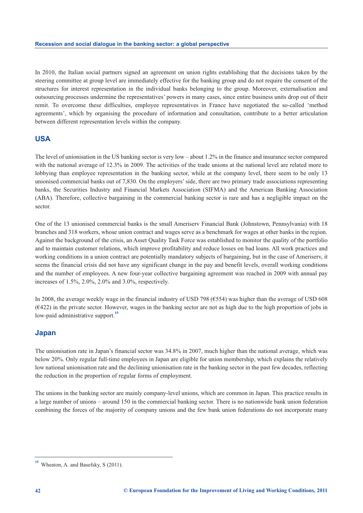In 2010, the Italian social partners signed an agreement on union rights establishing that the decisions taken by the steering committee at group level are immediately effective for the banking group and do not require the consent of the structures for interest representation in the individual banks belonging to the group. Moreover, externalisation and outsourcing processes undermine the representatives' powers in many cases, since entire business units drop out of their remit. To overcome these difficulties, employee representatives in France have negotiated the so-called 'method agreements', which by organising the procedure of information and consultation, contribute to a better articulation between different representation levels within the company.

## **USA**

The level of unionisation in the US banking sector is very low – about 1.2% in the finance and insurance sector compared with the national average of 12.3% in 2009. The activities of the trade unions at the national level are related more to lobbying than employee representation in the banking sector, while at the company level, there seem to be only 13 unionised commercial banks out of 7,830. On the employers' side, there are two primary trade associations representing banks, the Securities Industry and Financial Markets Association (SIFMA) and the American Banking Association (ABA). Therefore, collective bargaining in the commercial banking sector is rare and has a negligible impact on the sector.

One of the 13 unionised commercial banks is the small Ameriserv Financial Bank (Johnstown, Pennsylvania) with 18 branches and 318 workers, whose union contract and wages serve as a benchmark for wages at other banks in the region. Against the background of the crisis, an Asset Quality Task Force was established to monitor the quality of the portfolio and to maintain customer relations, which improve profitability and reduce losses on bad loans. All work practices and working conditions in a union contract are potentially mandatory subjects of bargaining, but in the case of Ameriserv, it seems the financial crisis did not have any significant change in the pay and benefit levels, overall working conditions and the number of employees. A new four-year collective bargaining agreement was reached in 2009 with annual pay increases of 1.5%, 2.0%, 2.0% and 3.0%, respectively.

In 2008, the average weekly wage in the financial industry of USD 798 (€554) was higher than the average of USD 608  $(6422)$  in the private sector. However, wages in the banking sector are not as high due to the high proportion of jobs in low-paid administrative support.**<sup>15</sup>**

### **Japan**

The unionisation rate in Japan's financial sector was 34.8% in 2007, much higher than the national average, which was below 20%. Only regular full-time employees in Japan are eligible for union membership, which explains the relatively low national unionisation rate and the declining unionisation rate in the banking sector in the past few decades, reflecting the reduction in the proportion of regular forms of employment.

The unions in the banking sector are mainly company-level unions, which are common in Japan. This practice results in a large number of unions – around 150 in the commercial banking sector. There is no nationwide bank union federation combining the forces of the majority of company unions and the few bank union federations do not incorporate many

<sup>&</sup>lt;sup>15</sup> Wheaton, A. and Basefsky, S (2011).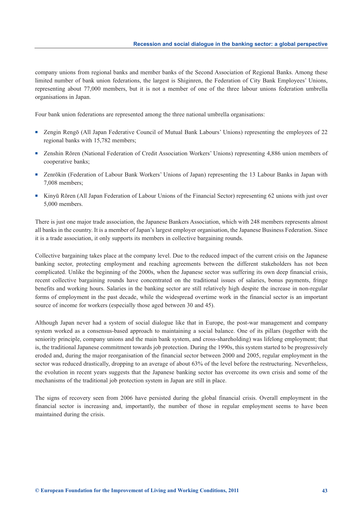company unions from regional banks and member banks of the Second Association of Regional Banks. Among these limited number of bank union federations, the largest is Shiginren, the Federation of City Bank Employees' Unions, representing about 77,000 members, but it is not a member of one of the three labour unions federation umbrella organisations in Japan.

Four bank union federations are represented among the three national umbrella organisations:

- Zengin Rengō (All Japan Federative Council of Mutual Bank Labours' Unions) representing the employees of 22 regional banks with 15,782 members;
- **Example 2** Zenshin Rōren (National Federation of Credit Association Workers' Unions) representing 4,886 union members of cooperative banks;
- **Exerchally 12** Zenrōkin (Federation of Labour Bank Workers' Unions of Japan) representing the 13 Labour Banks in Japan with 7,008 members;
- Kinyū Rōren (All Japan Federation of Labour Unions of the Financial Sector) representing 62 unions with just over 5,000 members.

There is just one major trade association, the Japanese Bankers Association, which with 248 members represents almost all banks in the country. It is a member of Japan's largest employer organisation, the Japanese Business Federation. Since it is a trade association, it only supports its members in collective bargaining rounds.

Collective bargaining takes place at the company level. Due to the reduced impact of the current crisis on the Japanese banking sector, protecting employment and reaching agreements between the different stakeholders has not been complicated. Unlike the beginning of the 2000s, when the Japanese sector was suffering its own deep financial crisis, recent collective bargaining rounds have concentrated on the traditional issues of salaries, bonus payments, fringe benefits and working hours. Salaries in the banking sector are still relatively high despite the increase in non-regular forms of employment in the past decade, while the widespread overtime work in the financial sector is an important source of income for workers (especially those aged between 30 and 45).

Although Japan never had a system of social dialogue like that in Europe, the post-war management and company system worked as a consensus-based approach to maintaining a social balance. One of its pillars (together with the seniority principle, company unions and the main bank system, and cross-shareholding) was lifelong employment; that is, the traditional Japanese commitment towards job protection. During the 1990s, this system started to be progressively eroded and, during the major reorganisation of the financial sector between 2000 and 2005, regular employment in the sector was reduced drastically, dropping to an average of about 63% of the level before the restructuring. Nevertheless, the evolution in recent years suggests that the Japanese banking sector has overcome its own crisis and some of the mechanisms of the traditional job protection system in Japan are still in place.

The signs of recovery seen from 2006 have persisted during the global financial crisis. Overall employment in the financial sector is increasing and, importantly, the number of those in regular employment seems to have been maintained during the crisis.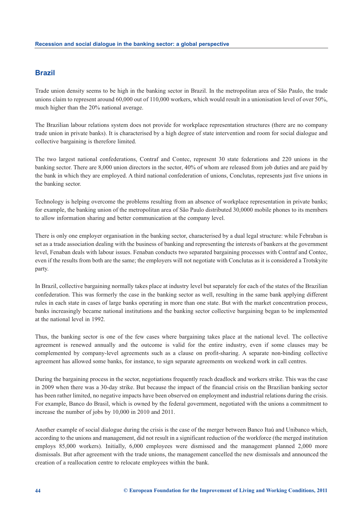### **Brazil**

Trade union density seems to be high in the banking sector in Brazil. In the metropolitan area of São Paulo, the trade unions claim to represent around 60,000 out of 110,000 workers, which would result in a unionisation level of over 50%, much higher than the 20% national average.

The Brazilian labour relations system does not provide for workplace representation structures (there are no company trade union in private banks). It is characterised by a high degree of state intervention and room for social dialogue and collective bargaining is therefore limited.

The two largest national confederations, Contraf and Contec, represent 30 state federations and 220 unions in the banking sector. There are 8,000 union directors in the sector, 40% of whom are released from job duties and are paid by the bank in which they are employed. A third national confederation of unions, Conclutas, represents just five unions in the banking sector.

Technology is helping overcome the problems resulting from an absence of workplace representation in private banks; for example, the banking union of the metropolitan area of São Paulo distributed 30,0000 mobile phones to its members to allow information sharing and better communication at the company level.

There is only one employer organisation in the banking sector, characterised by a dual legal structure: while Febraban is set as a trade association dealing with the business of banking and representing the interests of bankers at the government level, Fenaban deals with labour issues. Fenaban conducts two separated bargaining processes with Contraf and Contec, even if the results from both are the same; the employers will not negotiate with Conclutas as it is considered a Trotskyite party.

In Brazil, collective bargaining normally takes place at industry level but separately for each of the states of the Brazilian confederation. This was formerly the case in the banking sector as well, resulting in the same bank applying different rules in each state in cases of large banks operating in more than one state. But with the market concentration process, banks increasingly became national institutions and the banking sector collective bargaining began to be implemented at the national level in 1992.

Thus, the banking sector is one of the few cases where bargaining takes place at the national level. The collective agreement is renewed annually and the outcome is valid for the entire industry, even if some clauses may be complemented by company-level agreements such as a clause on profit-sharing. A separate non-binding collective agreement has allowed some banks, for instance, to sign separate agreements on weekend work in call centres.

During the bargaining process in the sector, negotiations frequently reach deadlock and workers strike. This was the case in 2009 when there was a 30-day strike. But because the impact of the financial crisis on the Brazilian banking sector has been rather limited, no negative impacts have been observed on employment and industrial relations during the crisis. For example, Banco do Brasil, which is owned by the federal government, negotiated with the unions a commitment to increase the number of jobs by 10,000 in 2010 and 2011.

Another example of social dialogue during the crisis is the case of the merger between Banco Itaú and Unibanco which, according to the unions and management, did not result in a significant reduction of the workforce (the merged institution employs 85,000 workers). Initially, 6,000 employees were dismissed and the management planned 2,000 more dismissals. But after agreement with the trade unions, the management cancelled the new dismissals and announced the creation of a reallocation centre to relocate employees within the bank.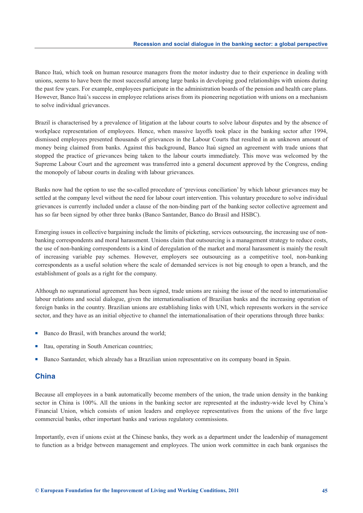Banco Itaú, which took on human resource managers from the motor industry due to their experience in dealing with unions, seems to have been the most successful among large banks in developing good relationships with unions during the past few years. For example, employees participate in the administration boards of the pension and health care plans. However, Banco Itaú's success in employee relations arises from its pioneering negotiation with unions on a mechanism to solve individual grievances.

Brazil is characterised by a prevalence of litigation at the labour courts to solve labour disputes and by the absence of workplace representation of employees. Hence, when massive layoffs took place in the banking sector after 1994, dismissed employees presented thousands of grievances in the Labour Courts that resulted in an unknown amount of money being claimed from banks. Against this background, Banco Itaú signed an agreement with trade unions that stopped the practice of grievances being taken to the labour courts immediately. This move was welcomed by the Supreme Labour Court and the agreement was transferred into a general document approved by the Congress, ending the monopoly of labour courts in dealing with labour grievances.

Banks now had the option to use the so-called procedure of 'previous conciliation' by which labour grievances may be settled at the company level without the need for labour court intervention. This voluntary procedure to solve individual grievances is currently included under a clause of the non-binding part of the banking sector collective agreement and has so far been signed by other three banks (Banco Santander, Banco do Brasil and HSBC).

Emerging issues in collective bargaining include the limits of picketing, services outsourcing, the increasing use of nonbanking correspondents and moral harassment. Unions claim that outsourcing is a management strategy to reduce costs, the use of non-banking correspondents is a kind of deregulation of the market and moral harassment is mainly the result of increasing variable pay schemes. However, employers see outsourcing as a competitive tool, non-banking correspondents as a useful solution where the scale of demanded services is not big enough to open a branch, and the establishment of goals as a right for the company.

Although no supranational agreement has been signed, trade unions are raising the issue of the need to internationalise labour relations and social dialogue, given the internationalisation of Brazilian banks and the increasing operation of foreign banks in the country. Brazilian unions are establishing links with UNI, which represents workers in the service sector, and they have as an initial objective to channel the internationalisation of their operations through three banks:

- -Banco do Brasil, with branches around the world;
- -Itau, operating in South American countries;
- -Banco Santander, which already has a Brazilian union representative on its company board in Spain.

#### **China**

Because all employees in a bank automatically become members of the union, the trade union density in the banking sector in China is 100%. All the unions in the banking sector are represented at the industry-wide level by China's Financial Union, which consists of union leaders and employee representatives from the unions of the five large commercial banks, other important banks and various regulatory commissions.

Importantly, even if unions exist at the Chinese banks, they work as a department under the leadership of management to function as a bridge between management and employees. The union work committee in each bank organises the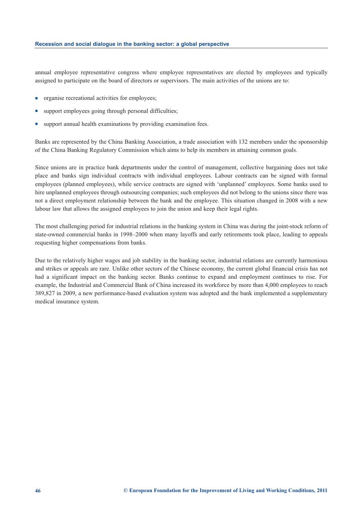annual employee representative congress where employee representatives are elected by employees and typically assigned to participate on the board of directors or supervisors. The main activities of the unions are to:

- organise recreational activities for employees;
- support employees going through personal difficulties;
- support annual health examinations by providing examination fees.

Banks are represented by the China Banking Association, a trade association with 132 members under the sponsorship of the China Banking Regulatory Commission which aims to help its members in attaining common goals.

Since unions are in practice bank departments under the control of management, collective bargaining does not take place and banks sign individual contracts with individual employees. Labour contracts can be signed with formal employees (planned employees), while service contracts are signed with 'unplanned' employees. Some banks used to hire unplanned employees through outsourcing companies; such employees did not belong to the unions since there was not a direct employment relationship between the bank and the employee. This situation changed in 2008 with a new labour law that allows the assigned employees to join the union and keep their legal rights.

The most challenging period for industrial relations in the banking system in China was during the joint-stock reform of state-owned commercial banks in 1998–2000 when many layoffs and early retirements took place, leading to appeals requesting higher compensations from banks.

Due to the relatively higher wages and job stability in the banking sector, industrial relations are currently harmonious and strikes or appeals are rare. Unlike other sectors of the Chinese economy, the current global financial crisis has not had a significant impact on the banking sector. Banks continue to expand and employment continues to rise. For example, the Industrial and Commercial Bank of China increased its workforce by more than 4,000 employees to reach 389,827 in 2009, a new performance-based evaluation system was adopted and the bank implemented a supplementary medical insurance system.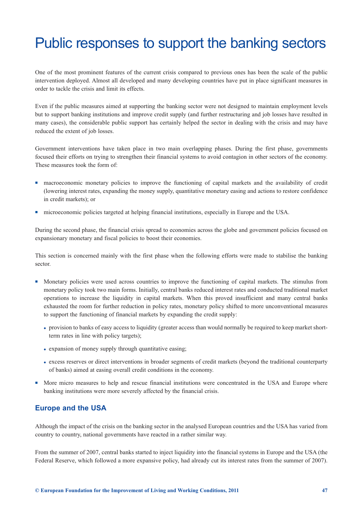## <span id="page-49-0"></span>Public responses to support the banking sectors

One of the most prominent features of the current crisis compared to previous ones has been the scale of the public intervention deployed. Almost all developed and many developing countries have put in place significant measures in order to tackle the crisis and limit its effects.

Even if the public measures aimed at supporting the banking sector were not designed to maintain employment levels but to support banking institutions and improve credit supply (and further restructuring and job losses have resulted in many cases), the considerable public support has certainly helped the sector in dealing with the crisis and may have reduced the extent of job losses.

Government interventions have taken place in two main overlapping phases. During the first phase, governments focused their efforts on trying to strengthen their financial systems to avoid contagion in other sectors of the economy. These measures took the form of:

- macroeconomic monetary policies to improve the functioning of capital markets and the availability of credit (lowering interest rates, expanding the money supply, quantitative monetary easing and actions to restore confidence in credit markets); or
- microeconomic policies targeted at helping financial institutions, especially in Europe and the USA.

During the second phase, the financial crisis spread to economies across the globe and government policies focused on expansionary monetary and fiscal policies to boost their economies.

This section is concerned mainly with the first phase when the following efforts were made to stabilise the banking sector.

- - Monetary policies were used across countries to improve the functioning of capital markets. The stimulus from monetary policy took two main forms. Initially, central banks reduced interest rates and conducted traditional market operations to increase the liquidity in capital markets. When this proved insufficient and many central banks exhausted the room for further reduction in policy rates, monetary policy shifted to more unconventional measures to support the functioning of financial markets by expanding the credit supply:
	- provision to banks of easy access to liquidity (greater access than would normally be required to keep market shortterm rates in line with policy targets);
	- expansion of money supply through quantitative easing;
	- excess reserves or direct interventions in broader segments of credit markets (beyond the traditional counterparty of banks) aimed at easing overall credit conditions in the economy.
- - More micro measures to help and rescue financial institutions were concentrated in the USA and Europe where banking institutions were more severely affected by the financial crisis.

### **Europe and the USA**

Although the impact of the crisis on the banking sector in the analysed European countries and the USA has varied from country to country, national governments have reacted in a rather similar way.

From the summer of 2007, central banks started to inject liquidity into the financial systems in Europe and the USA (the Federal Reserve, which followed a more expansive policy, had already cut its interest rates from the summer of 2007).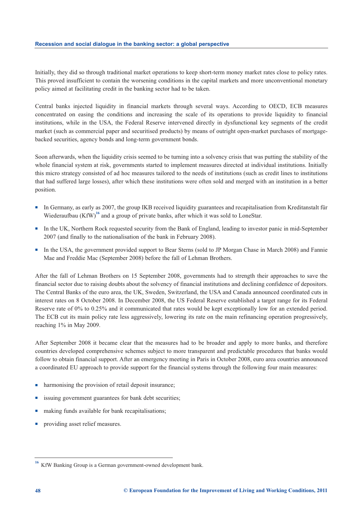Initially, they did so through traditional market operations to keep short-term money market rates close to policy rates. This proved insufficient to contain the worsening conditions in the capital markets and more unconventional monetary policy aimed at facilitating credit in the banking sector had to be taken.

Central banks injected liquidity in financial markets through several ways. According to OECD, ECB measures concentrated on easing the conditions and increasing the scale of its operations to provide liquidity to financial institutions, while in the USA, the Federal Reserve intervened directly in dysfunctional key segments of the credit market (such as commercial paper and securitised products) by means of outright open-market purchases of mortgagebacked securities, agency bonds and long-term government bonds.

Soon afterwards, when the liquidity crisis seemed to be turning into a solvency crisis that was putting the stability of the whole financial system at risk, governments started to implement measures directed at individual institutions. Initially this micro strategy consisted of ad hoc measures tailored to the needs of institutions (such as credit lines to institutions that had suffered large losses), after which these institutions were often sold and merged with an institution in a better position.

- In Germany, as early as 2007, the group IKB received liquidity guarantees and recapitalisation from Kreditanstalt für Wiederaufbau (KfW)<sup>16</sup> and a group of private banks, after which it was sold to LoneStar.
- In the UK, Northern Rock requested security from the Bank of England, leading to investor panic in mid-September 2007 (and finally to the nationalisation of the bank in February 2008).
- In the USA, the government provided support to Bear Sterns (sold to JP Morgan Chase in March 2008) and Fannie Mae and Freddie Mac (September 2008) before the fall of Lehman Brothers.

After the fall of Lehman Brothers on 15 September 2008, governments had to strength their approaches to save the financial sector due to raising doubts about the solvency of financial institutions and declining confidence of depositors. The Central Banks of the euro area, the UK, Sweden, Switzerland, the USA and Canada announced coordinated cuts in interest rates on 8 October 2008. In December 2008, the US Federal Reserve established a target range for its Federal Reserve rate of 0% to 0.25% and it communicated that rates would be kept exceptionally low for an extended period. The ECB cut its main policy rate less aggressively, lowering its rate on the main refinancing operation progressively, reaching 1% in May 2009.

After September 2008 it became clear that the measures had to be broader and apply to more banks, and therefore countries developed comprehensive schemes subject to more transparent and predictable procedures that banks would follow to obtain financial support. After an emergency meeting in Paris in October 2008, euro area countries announced a coordinated EU approach to provide support for the financial systems through the following four main measures:

- harmonising the provision of retail deposit insurance:
- issuing government guarantees for bank debt securities;
- making funds available for bank recapitalisations;
- providing asset relief measures.

<sup>&</sup>lt;sup>16</sup> KfW Banking Group is a German government-owned development bank.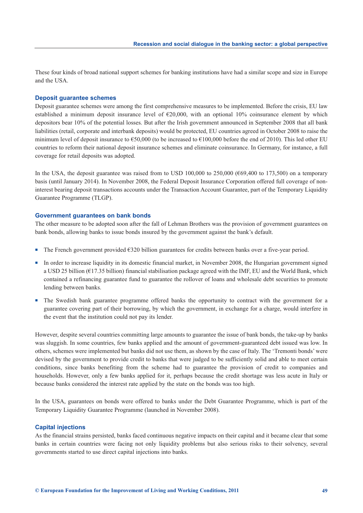These four kinds of broad national support schemes for banking institutions have had a similar scope and size in Europe and the USA.

#### **Deposit guarantee schemes**

Deposit guarantee schemes were among the first comprehensive measures to be implemented. Before the crisis, EU law established a minimum deposit insurance level of  $\epsilon$ 20,000, with an optional 10% coinsurance element by which depositors bear 10% of the potential losses. But after the Irish government announced in September 2008 that all bank liabilities (retail, corporate and interbank deposits) would be protected, EU countries agreed in October 2008 to raise the minimum level of deposit insurance to  $\epsilon$ 50,000 (to be increased to  $\epsilon$ 100,000 before the end of 2010). This led other EU countries to reform their national deposit insurance schemes and eliminate coinsurance. In Germany, for instance, a full coverage for retail deposits was adopted.

In the USA, the deposit guarantee was raised from to USD 100,000 to 250,000 ( $669,400$  to 173,500) on a temporary basis (until January 2014). In November 2008, the Federal Deposit Insurance Corporation offered full coverage of noninterest bearing deposit transactions accounts under the Transaction Account Guarantee, part of the Temporary Liquidity Guarantee Programme (TLGP).

#### **Government guarantees on bank bonds**

The other measure to be adopted soon after the fall of Lehman Brothers was the provision of government guarantees on bank bonds, allowing banks to issue bonds insured by the government against the bank's default.

- The French government provided €320 billion guarantees for credits between banks over a five-year period.
- In order to increase liquidity in its domestic financial market, in November 2008, the Hungarian government signed a USD 25 billion (€17.35 billion) financial stabilisation package agreed with the IMF, EU and the World Bank, which contained a refinancing guarantee fund to guarantee the rollover of loans and wholesale debt securities to promote lending between banks.
- The Swedish bank guarantee programme offered banks the opportunity to contract with the government for a guarantee covering part of their borrowing, by which the government, in exchange for a charge, would interfere in the event that the institution could not pay its lender.

However, despite several countries committing large amounts to guarantee the issue of bank bonds, the take-up by banks was sluggish. In some countries, few banks applied and the amount of government-guaranteed debt issued was low. In others, schemes were implemented but banks did not use them, as shown by the case of Italy. The 'Tremonti bonds' were devised by the government to provide credit to banks that were judged to be sufficiently solid and able to meet certain conditions, since banks benefiting from the scheme had to guarantee the provision of credit to companies and households. However, only a few banks applied for it, perhaps because the credit shortage was less acute in Italy or because banks considered the interest rate applied by the state on the bonds was too high.

In the USA, guarantees on bonds were offered to banks under the Debt Guarantee Programme, which is part of the Temporary Liquidity Guarantee Programme (launched in November 2008).

#### **Capital injections**

As the financial strains persisted, banks faced continuous negative impacts on their capital and it became clear that some banks in certain countries were facing not only liquidity problems but also serious risks to their solvency, several governments started to use direct capital injections into banks.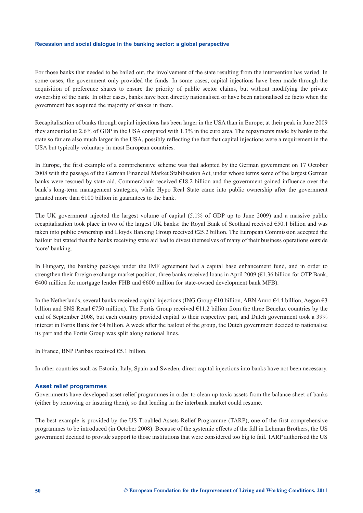For those banks that needed to be bailed out, the involvement of the state resulting from the intervention has varied. In some cases, the government only provided the funds. In some cases, capital injections have been made through the acquisition of preference shares to ensure the priority of public sector claims, but without modifying the private ownership of the bank. In other cases, banks have been directly nationalised or have been nationalised de facto when the government has acquired the majority of stakes in them.

Recapitalisation of banks through capital injections has been larger in the USA than in Europe; at their peak in June 2009 they amounted to 2.6% of GDP in the USA compared with 1.3% in the euro area. The repayments made by banks to the state so far are also much larger in the USA, possibly reflecting the fact that capital injections were a requirement in the USA but typically voluntary in most European countries.

In Europe, the first example of a comprehensive scheme was that adopted by the German government on 17 October 2008 with the passage of the German Financial Market Stabilisation Act, under whose terms some of the largest German banks were rescued by state aid. Commerzbank received  $\epsilon$ 18.2 billion and the government gained influence over the bank's long-term management strategies, while Hypo Real State came into public ownership after the government granted more than  $\epsilon$ 100 billion in guarantees to the bank.

The UK government injected the largest volume of capital (5.1% of GDP up to June 2009) and a massive public recapitalisation took place in two of the largest UK banks: the Royal Bank of Scotland received €50.1 billion and was taken into public ownership and Lloyds Banking Group received €25.2 billion. The European Commission accepted the bailout but stated that the banks receiving state aid had to divest themselves of many of their business operations outside 'core' banking.

In Hungary, the banking package under the IMF agreement had a capital base enhancement fund, and in order to strengthen their foreign exchange market position, three banks received loans in April 2009 (€1.36 billion for OTP Bank,  $€400$  million for mortgage lender FHB and  $€600$  million for state-owned development bank MFB).

In the Netherlands, several banks received capital injections (ING Group €10 billion, ABN Amro €4.4 billion, Aegon €3 billion and SNS Reaal €750 million). The Fortis Group received €11.2 billion from the three Benelux countries by the end of September 2008, but each country provided capital to their respective part, and Dutch government took a 39% interest in Fortis Bank for €4 billion. A week after the bailout of the group, the Dutch government decided to nationalise its part and the Fortis Group was split along national lines.

In France, BNP Paribas received €5.1 billion.

In other countries such as Estonia, Italy, Spain and Sweden, direct capital injections into banks have not been necessary.

#### **Asset relief programmes**

Governments have developed asset relief programmes in order to clean up toxic assets from the balance sheet of banks (either by removing or insuring them), so that lending in the interbank market could resume.

The best example is provided by the US Troubled Assets Relief Programme (TARP), one of the first comprehensive programmes to be introduced (in October 2008). Because of the systemic effects of the fall in Lehman Brothers, the US government decided to provide support to those institutions that were considered too big to fail. TARP authorised the US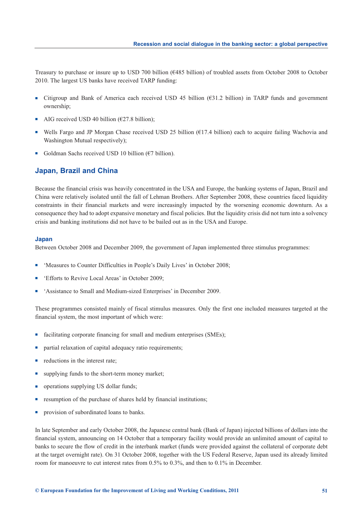Treasury to purchase or insure up to USD 700 billion (€485 billion) of troubled assets from October 2008 to October 2010. The largest US banks have received TARP funding:

- Citigroup and Bank of America each received USD 45 billion (€31.2 billion) in TARP funds and government ownership;
- -AIG received USD 40 billion ( $\epsilon$ 27.8 billion);
- -Wells Fargo and JP Morgan Chase received USD 25 billion (€17.4 billion) each to acquire failing Wachovia and Washington Mutual respectively);
- Goldman Sachs received USD 10 billion ( $\epsilon$ 7 billion).

#### **Japan, Brazil and China**

Because the financial crisis was heavily concentrated in the USA and Europe, the banking systems of Japan, Brazil and China were relatively isolated until the fall of Lehman Brothers. After September 2008, these countries faced liquidity constraints in their financial markets and were increasingly impacted by the worsening economic downturn. As a consequence they had to adopt expansive monetary and fiscal policies. But the liquidity crisis did not turn into a solvency crisis and banking institutions did not have to be bailed out as in the USA and Europe.

#### **Japan**

Between October 2008 and December 2009, the government of Japan implemented three stimulus programmes:

- -'Measures to Counter Difficulties in People's Daily Lives' in October 2008;
- -'Efforts to Revive Local Areas' in October 2009;
- -'Assistance to Small and Medium-sized Enterprises' in December 2009.

These programmes consisted mainly of fiscal stimulus measures. Only the first one included measures targeted at the financial system, the most important of which were:

- facilitating corporate financing for small and medium enterprises (SMEs);
- partial relaxation of capital adequacy ratio requirements;
- reductions in the interest rate;
- supplying funds to the short-term money market;
- operations supplying US dollar funds;
- resumption of the purchase of shares held by financial institutions;
- provision of subordinated loans to banks.

In late September and early October 2008, the Japanese central bank (Bank of Japan) injected billions of dollars into the financial system, announcing on 14 October that a temporary facility would provide an unlimited amount of capital to banks to secure the flow of credit in the interbank market (funds were provided against the collateral of corporate debt at the target overnight rate). On 31 October 2008, together with the US Federal Reserve, Japan used its already limited room for manoeuvre to cut interest rates from 0.5% to 0.3%, and then to 0.1% in December.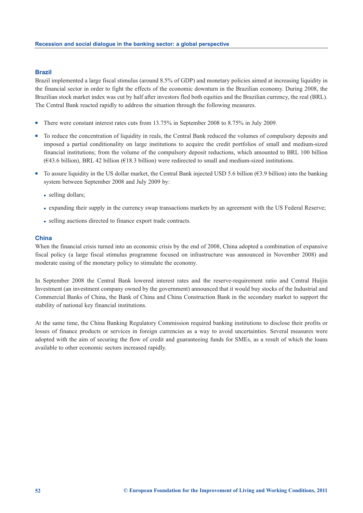#### **Brazil**

Brazil implemented a large fiscal stimulus (around 8.5% of GDP) and monetary policies aimed at increasing liquidity in the financial sector in order to fight the effects of the economic downturn in the Brazilian economy. During 2008, the Brazilian stock market index was cut by half after investors fled both equities and the Brazilian currency, the real (BRL). The Central Bank reacted rapidly to address the situation through the following measures.

- -There were constant interest rates cuts from 13.75% in September 2008 to 8.75% in July 2009.
- - To reduce the concentration of liquidity in reals, the Central Bank reduced the volumes of compulsory deposits and imposed a partial conditionality on large institutions to acquire the credit portfolios of small and medium-sized financial institutions; from the volume of the compulsory deposit reductions, which amounted to BRL 100 billion  $(643.6 \text{ billion})$ , BRL 42 billion  $(618.3 \text{ billion})$  were redirected to small and medium-sized institutions.
- -To assure liquidity in the US dollar market, the Central Bank injected USD 5.6 billion ( $\epsilon$ 3.9 billion) into the banking system between September 2008 and July 2009 by:
	- selling dollars;
	- expanding their supply in the currency swap transactions markets by an agreement with the US Federal Reserve;
	- selling auctions directed to finance export trade contracts.

#### **China**

When the financial crisis turned into an economic crisis by the end of 2008, China adopted a combination of expansive fiscal policy (a large fiscal stimulus programme focused on infrastructure was announced in November 2008) and moderate easing of the monetary policy to stimulate the economy.

In September 2008 the Central Bank lowered interest rates and the reserve-requirement ratio and Central Huijin Investment (an investment company owned by the government) announced that it would buy stocks of the Industrial and Commercial Banks of China, the Bank of China and China Construction Bank in the secondary market to support the stability of national key financial institutions.

At the same time, the China Banking Regulatory Commission required banking institutions to disclose their profits or losses of finance products or services in foreign currencies as a way to avoid uncertainties. Several measures were adopted with the aim of securing the flow of credit and guaranteeing funds for SMEs, as a result of which the loans available to other economic sectors increased rapidly.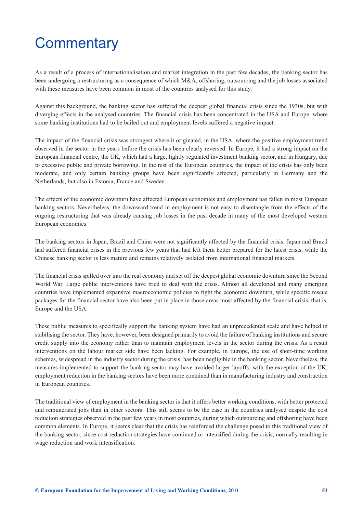## <span id="page-55-0"></span>**Commentary**

As a result of a process of internationalisation and market integration in the past few decades, the banking sector has been undergoing a restructuring as a consequence of which M&A, offshoring, outsourcing and the job losses associated with these measures have been common in most of the countries analysed for this study.

Against this background, the banking sector has suffered the deepest global financial crisis since the 1930s, but with diverging effects in the analysed countries. The financial crisis has been concentrated in the USA and Europe, where some banking institutions had to be bailed out and employment levels suffered a negative impact.

The impact of the financial crisis was strongest where it originated, in the USA, where the positive employment trend observed in the sector in the years before the crisis has been clearly reversed. In Europe, it had a strong impact on the European financial centre, the UK, which had a large, lightly regulated investment banking sector, and in Hungary, due to excessive public and private borrowing. In the rest of the European countries, the impact of the crisis has only been moderate, and only certain banking groups have been significantly affected, particularly in Germany and the Netherlands, but also in Estonia, France and Sweden.

The effects of the economic downturn have affected European economies and employment has fallen in most European banking sectors. Nevertheless, the downward trend in employment is not easy to disentangle from the effects of the ongoing restructuring that was already causing job losses in the past decade in many of the most developed western European economies.

The banking sectors in Japan, Brazil and China were not significantly affected by the financial crisis. Japan and Brazil had suffered financial crises in the previous few years that had left them better prepared for the latest crisis, while the Chinese banking sector is less mature and remains relatively isolated from international financial markets.

The financial crisis spilled over into the real economy and set off the deepest global economic downturn since the Second World War. Large public interventions have tried to deal with the crisis. Almost all developed and many emerging countries have implemented expansive macroeconomic policies to fight the economic downturn, while specific rescue packages for the financial sector have also been put in place in those areas most affected by the financial crisis, that is, Europe and the USA.

These public measures to specifically support the banking system have had an unprecedented scale and have helped in stabilising the sector. They have, however, been designed primarily to avoid the failure of banking institutions and secure credit supply into the economy rather than to maintain employment levels in the sector during the crisis. As a result interventions on the labour market side have been lacking. For example, in Europe, the use of short-time working schemes, widespread in the industry sector during the crisis, has been negligible in the banking sector. Nevertheless, the measures implemented to support the banking sector may have avoided larger layoffs; with the exception of the UK, employment reduction in the banking sectors have been more contained than in manufacturing industry and construction in European countries.

The traditional view of employment in the banking sector is that it offers better working conditions, with better protected and remunerated jobs than in other sectors. This still seems to be the case in the countries analysed despite the cost reduction strategies observed in the past few years in most countries, during which outsourcing and offshoring have been common elements. In Europe, it seems clear that the crisis has reinforced the challenge posed to this traditional view of the banking sector, since cost reduction strategies have continued or intensified during the crisis, normally resulting in wage reduction and work intensification.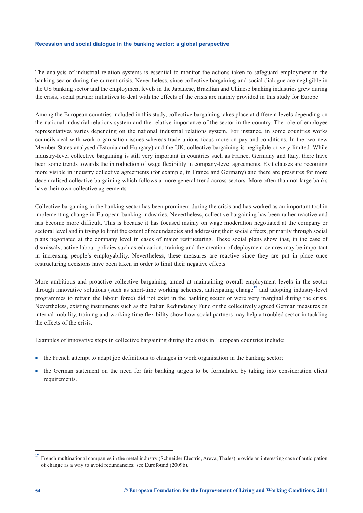The analysis of industrial relation systems is essential to monitor the actions taken to safeguard employment in the banking sector during the current crisis. Nevertheless, since collective bargaining and social dialogue are negligible in the US banking sector and the employment levels in the Japanese, Brazilian and Chinese banking industries grew during the crisis, social partner initiatives to deal with the effects of the crisis are mainly provided in this study for Europe.

Among the European countries included in this study, collective bargaining takes place at different levels depending on the national industrial relations system and the relative importance of the sector in the country. The role of employee representatives varies depending on the national industrial relations system. For instance, in some countries works councils deal with work organisation issues whereas trade unions focus more on pay and conditions. In the two new Member States analysed (Estonia and Hungary) and the UK, collective bargaining is negligible or very limited. While industry-level collective bargaining is still very important in countries such as France, Germany and Italy, there have been some trends towards the introduction of wage flexibility in company-level agreements. Exit clauses are becoming more visible in industry collective agreements (for example, in France and Germany) and there are pressures for more decentralised collective bargaining which follows a more general trend across sectors. More often than not large banks have their own collective agreements.

Collective bargaining in the banking sector has been prominent during the crisis and has worked as an important tool in implementing change in European banking industries. Nevertheless, collective bargaining has been rather reactive and has become more difficult. This is because it has focused mainly on wage moderation negotiated at the company or sectoral level and in trying to limit the extent of redundancies and addressing their social effects, primarily through social plans negotiated at the company level in cases of major restructuring. These social plans show that, in the case of dismissals, active labour policies such as education, training and the creation of deployment centres may be important in increasing people's employability. Nevertheless, these measures are reactive since they are put in place once restructuring decisions have been taken in order to limit their negative effects.

More ambitious and proactive collective bargaining aimed at maintaining overall employment levels in the sector through innovative solutions (such as short-time working schemes, anticipating change**<sup>17</sup>** and adopting industry-level programmes to retrain the labour force) did not exist in the banking sector or were very marginal during the crisis. Nevertheless, existing instruments such as the Italian Redundancy Fund or the collectively agreed German measures on internal mobility, training and working time flexibility show how social partners may help a troubled sector in tackling the effects of the crisis.

Examples of innovative steps in collective bargaining during the crisis in European countries include:

- the French attempt to adapt job definitions to changes in work organisation in the banking sector;
- the German statement on the need for fair banking targets to be formulated by taking into consideration client requirements.

<sup>&</sup>lt;sup>17</sup> French multinational companies in the metal industry (Schneider Electric, Areva, Thales) provide an interesting case of anticipation of change as a way to avoid redundancies; see Eurofound (2009b).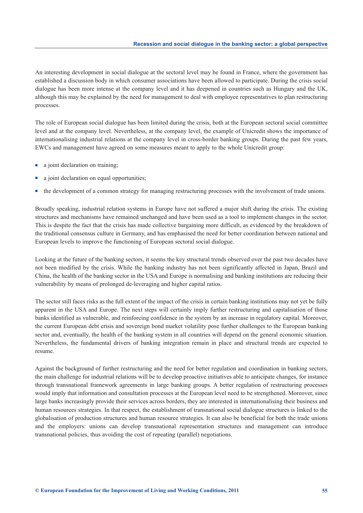An interesting development in social dialogue at the sectoral level may be found in France, where the government has established a discussion body in which consumer associations have been allowed to participate. During the crisis social dialogue has been more intense at the company level and it has deepened in countries such as Hungary and the UK, although this may be explained by the need for management to deal with employee representatives to plan restructuring processes.

The role of European social dialogue has been limited during the crisis, both at the European sectoral social committee level and at the company level. Nevertheless, at the company level, the example of Unicredit shows the importance of internationalising industrial relations at the company level in cross-border banking groups. During the past few years, EWCs and management have agreed on some measures meant to apply to the whole Unicredit group:

- a joint declaration on training;
- a joint declaration on equal opportunities;
- the development of a common strategy for managing restructuring processes with the involvement of trade unions.

Broadly speaking, industrial relation systems in Europe have not suffered a major shift during the crisis. The existing structures and mechanisms have remained unchanged and have been used as a tool to implement changes in the sector. This is despite the fact that the crisis has made collective bargaining more difficult, as evidenced by the breakdown of the traditional consensus culture in Germany, and has emphasised the need for better coordination between national and European levels to improve the functioning of European sectoral social dialogue.

Looking at the future of the banking sectors, it seems the key structural trends observed over the past two decades have not been modified by the crisis. While the banking industry has not been significantly affected in Japan, Brazil and China, the health of the banking sector in the USA and Europe is normalising and banking institutions are reducing their vulnerability by means of prolonged de-leveraging and higher capital ratios.

The sector still faces risks as the full extent of the impact of the crisis in certain banking institutions may not yet be fully apparent in the USA and Europe. The next steps will certainly imply further restructuring and capitalisation of those banks identified as vulnerable, and reinforcing confidence in the system by an increase in regulatory capital. Moreover, the current European debt crisis and sovereign bond market volatility pose further challenges to the European banking sector and, eventually, the health of the banking system in all countries will depend on the general economic situation. Nevertheless, the fundamental drivers of banking integration remain in place and structural trends are expected to resume.

Against the background of further restructuring and the need for better regulation and coordination in banking sectors, the main challenge for industrial relations will be to develop proactive initiatives able to anticipate changes, for instance through transnational framework agreements in large banking groups. A better regulation of restructuring processes would imply that information and consultation processes at the European level need to be strengthened. Moreover, since large banks increasingly provide their services across borders, they are interested in internationalising their business and human resources strategies. In that respect, the establishment of transnational social dialogue structures is linked to the globalisation of production structures and human resource strategies. It can also be beneficial for both the trade unions and the employers: unions can develop transnational representation structures and management can introduce transnational policies, thus avoiding the cost of repeating (parallel) negotiations.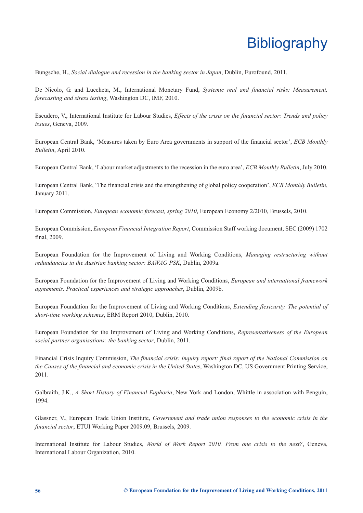## **Bibliography**

<span id="page-58-0"></span>Bungsche, H., *Social dialogue and recession in the banking sector in Japan*, Dublin, Eurofound, 2011.

De Nicolo, G. and Luccheta, M., International Monetary Fund, *Systemic real and financial risks: Measurement, forecasting and stress testing*, Washington DC, IMF, 2010.

Escudero, V., International Institute for Labour Studies, *Effects of the crisis on the financial sector: Trends and policy issues*, Geneva, 2009.

European Central Bank, 'Measures taken by Euro Area governments in support of the financial sector', *ECB Monthly Bulletin*, April 2010.

European Central Bank, 'Labour market adjustments to the recession in the euro area', *ECB Monthly Bulletin*, July 2010.

European Central Bank, 'The financial crisis and the strengthening of global policy cooperation', *ECB Monthly Bulletin*, January 2011.

European Commission, *European economic forecast, spring 2010*, European Economy 2/2010, Brussels, 2010.

European Commission, *European Financial Integration Report*, Commission Staff working document, SEC (2009) 1702 final, 2009.

European Foundation for the Improvement of Living and Working Conditions, *Managing restructuring without redundancies in the Austrian banking sector: BAWAG PSK*, Dublin, 2009a.

European Foundation for the Improvement of Living and Working Conditions, *European and international framework agreements. Practical experiences and strategic approaches*, Dublin, 2009b.

European Foundation for the Improvement of Living and Working Conditions, *Extending flexicurity. The potential of short-time working schemes*, ERM Report 2010, Dublin, 2010.

European Foundation for the Improvement of Living and Working Conditions, *Representativeness of the European social partner organisations: the banking sector*, Dublin, 2011.

Financial Crisis Inquiry Commission, *The financial crisis: inquiry report: final report of the National Commission on the Causes of the financial and economic crisis in the United States*, Washington DC, US Government Printing Service, 2011.

Galbraith, J.K., *A Short History of Financial Euphoria*, New York and London, Whittle in association with Penguin, 1994.

Glassner, V., European Trade Union Institute, *Government and trade union responses to the economic crisis in the financial sector*, ETUI Working Paper 2009.09, Brussels, 2009.

International Institute for Labour Studies, *World of Work Report 2010. From one crisis to the next?*, Geneva, International Labour Organization, 2010.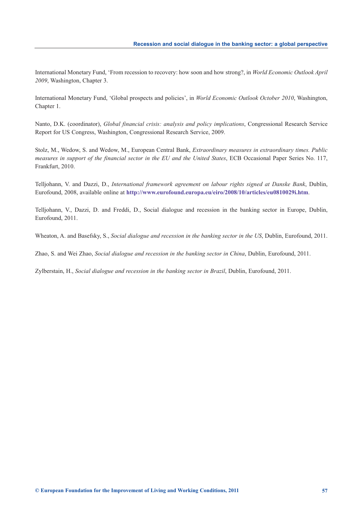International Monetary Fund, 'From recession to recovery: how soon and how strong?, in *World Economic Outlook April 2009*, Washington, Chapter 3.

International Monetary Fund, 'Global prospects and policies', in *World Economic Outlook October 2010*, Washington, Chapter 1.

Nanto, D.K. (coordinator), *Global financial crisis: analysis and policy implications*, Congressional Research Service Report for US Congress, Washington, Congressional Research Service, 2009.

Stolz, M., Wedow, S. and Wedow, M., European Central Bank, *Extraordinary measures in extraordinary times. Public measures in support of the financial sector in the EU and the United States*, ECB Occasional Paper Series No. 117, Frankfurt, 2010.

Telljohann, V. and Dazzi, D., *International framework agreement on labour rights signed at Danske Bank*, Dublin, Eurofound, 2008, available online at **<http://www.eurofound.europa.eu/eiro/2008/10/articles/eu0810029i.htm>**.

Telljohann, V., Dazzi, D. and Freddi, D., Social dialogue and recession in the banking sector in Europe, Dublin, Eurofound, 2011.

Wheaton, A. and Basefsky, S., *Social dialogue and recession in the banking sector in the US*, Dublin, Eurofound, 2011.

Zhao, S. and Wei Zhao, *Social dialogue and recession in the banking sector in China*, Dublin, Eurofound, 2011.

Zylberstain, H., *Social dialogue and recession in the banking sector in Brazil*, Dublin, Eurofound, 2011.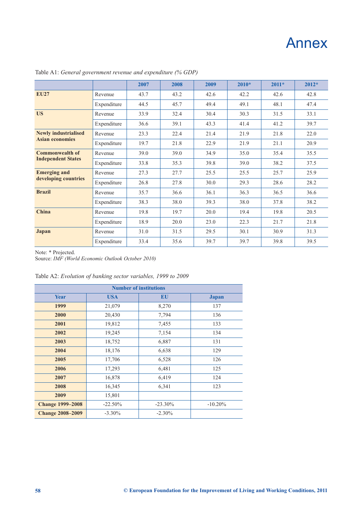## Annex

|                                             |             | 2007 | 2008 | 2009 | $2010*$ | $2011*$ | $2012*$ |
|---------------------------------------------|-------------|------|------|------|---------|---------|---------|
| <b>EU27</b>                                 | Revenue     | 43.7 | 43.2 | 42.6 | 42.2    | 42.6    | 42.8    |
|                                             | Expenditure | 44.5 | 45.7 | 49.4 | 49.1    | 48.1    | 47.4    |
| <b>US</b>                                   | Revenue     | 33.9 | 32.4 | 30.4 | 30.3    | 31.5    | 33.1    |
|                                             | Expenditure | 36.6 | 39.1 | 43.3 | 41.4    | 41.2    | 39.7    |
| <b>Newly industrialised</b>                 | Revenue     | 23.3 | 22.4 | 21.4 | 21.9    | 21.8    | 22.0    |
| <b>Asian economies</b>                      | Expenditure | 19.7 | 21.8 | 22.9 | 21.9    | 21.1    | 20.9    |
| <b>Commonwealth of</b>                      | Revenue     | 39.0 | 39.0 | 34.9 | 35.0    | 35.4    | 35.5    |
| <b>Independent States</b>                   | Expenditure | 33.8 | 35.3 | 39.8 | 39.0    | 38.2    | 37.5    |
| <b>Emerging and</b><br>developing countries | Revenue     | 27.3 | 27.7 | 25.5 | 25.5    | 25.7    | 25.9    |
|                                             | Expenditure | 26.8 | 27.8 | 30.0 | 29.3    | 28.6    | 28.2    |
| <b>Brazil</b>                               | Revenue     | 35.7 | 36.6 | 36.1 | 36.3    | 36.5    | 36.6    |
|                                             | Expenditure | 38.3 | 38.0 | 39.3 | 38.0    | 37.8    | 38.2    |
| China                                       | Revenue     | 19.8 | 19.7 | 20.0 | 19.4    | 19.8    | 20.5    |
|                                             | Expenditure | 18.9 | 20.0 | 23.0 | 22.3    | 21.7    | 21.8    |
| Japan                                       | Revenue     | 31.0 | 31.5 | 29.5 | 30.1    | 30.9    | 31.3    |
|                                             | Expenditure | 33.4 | 35.6 | 39.7 | 39.7    | 39.8    | 39.5    |

<span id="page-60-0"></span>Table A1: *General government revenue and expenditure (% GDP)*

Note: \* Projected.

Source: *IMF (World Economic Outlook October 2010)*

Table A2: *Evolution of banking sector variables, 1999 to 2009*

| <b>Number of institutions</b> |            |            |              |  |  |
|-------------------------------|------------|------------|--------------|--|--|
| Year                          | <b>USA</b> | <b>EU</b>  | <b>Japan</b> |  |  |
| 1999                          | 21,079     | 8,270      | 137          |  |  |
| 2000                          | 20,430     | 7,794      | 136          |  |  |
| 2001                          | 19,812     | 7,455      | 133          |  |  |
| 2002                          | 19,245     | 7,154      | 134          |  |  |
| 2003                          | 18,752     | 6,887      | 131          |  |  |
| 2004                          | 18,176     | 6,638      | 129          |  |  |
| 2005                          | 17,706     | 6,528      | 126          |  |  |
| 2006                          | 17,293     | 6,481      | 125          |  |  |
| 2007                          | 16,878     | 6,419      | 124          |  |  |
| 2008                          | 16,345     | 6,341      | 123          |  |  |
| 2009                          | 15,801     |            |              |  |  |
| <b>Change 1999–2008</b>       | $-22.50%$  | $-23.30\%$ | $-10.20%$    |  |  |
| <b>Change 2008-2009</b>       | $-3.30\%$  | $-2.30\%$  |              |  |  |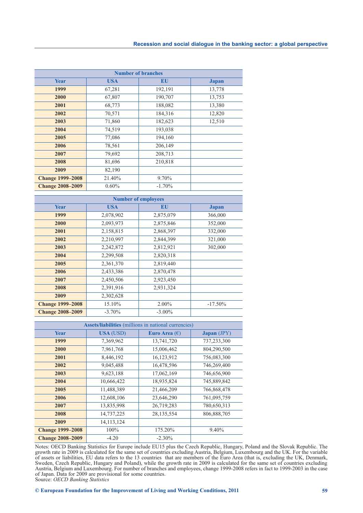| <b>Number of branches</b> |            |          |              |  |  |  |
|---------------------------|------------|----------|--------------|--|--|--|
| <b>Year</b>               | <b>USA</b> | EU       | <b>Japan</b> |  |  |  |
| 1999                      | 67,281     | 192,191  | 13,778       |  |  |  |
| 2000                      | 67,807     | 190,707  | 13,753       |  |  |  |
| 2001                      | 68,773     | 188,082  | 13,380       |  |  |  |
| 2002                      | 70,571     | 184,316  | 12,820       |  |  |  |
| 2003                      | 71,860     | 182,623  | 12,510       |  |  |  |
| 2004                      | 74,519     | 193,038  |              |  |  |  |
| 2005                      | 77,086     | 194,160  |              |  |  |  |
| 2006                      | 78,561     | 206,149  |              |  |  |  |
| 2007                      | 79,692     | 208,713  |              |  |  |  |
| 2008                      | 81,696     | 210,818  |              |  |  |  |
| 2009                      | 82,190     |          |              |  |  |  |
| <b>Change 1999–2008</b>   | 21.40%     | $9.70\%$ |              |  |  |  |
| <b>Change 2008-2009</b>   | $0.60\%$   | $-1.70%$ |              |  |  |  |

| <b>Number of employees</b> |            |           |              |  |  |  |
|----------------------------|------------|-----------|--------------|--|--|--|
| <b>Year</b>                | <b>USA</b> | EU        | <b>Japan</b> |  |  |  |
| 1999                       | 2,078,902  | 2,875,079 | 366,000      |  |  |  |
| 2000                       | 2,093,973  | 2,875,846 | 352,000      |  |  |  |
| 2001                       | 2,158,815  | 2,868,397 | 332,000      |  |  |  |
| 2002                       | 2,210,997  | 2,844,399 | 321,000      |  |  |  |
| 2003                       | 2,242,872  | 2,812,921 | 302,000      |  |  |  |
| 2004                       | 2,299,508  | 2,820,318 |              |  |  |  |
| 2005                       | 2,361,370  | 2,819,440 |              |  |  |  |
| 2006                       | 2,433,386  | 2,870,478 |              |  |  |  |
| 2007                       | 2,450,506  | 2,923,450 |              |  |  |  |
| 2008                       | 2,391,916  | 2,931,324 |              |  |  |  |
| 2009                       | 2,302,628  |           |              |  |  |  |
| <b>Change 1999–2008</b>    | 15.10%     | 2.00%     | $-17.50\%$   |  |  |  |
| <b>Change 2008-2009</b>    | $-3.70\%$  | $-3.00\%$ |              |  |  |  |

| <b>Assets/liabilities</b> (millions in national currencies) |                  |                        |             |  |  |
|-------------------------------------------------------------|------------------|------------------------|-------------|--|--|
| Year                                                        | <b>USA</b> (USD) | Euro Area $(\epsilon)$ | Japan (JPY) |  |  |
| 1999                                                        | 7,369,962        | 13,741,720             | 737,233,300 |  |  |
| 2000                                                        | 7,961,768        | 15,006,462             | 804,290,500 |  |  |
| 2001                                                        | 8,446,192        | 16,123,912             | 756,083,300 |  |  |
| 2002                                                        | 9,045,488        | 16,478,596             | 746,269,400 |  |  |
| 2003                                                        | 9,623,188        | 17,062,169             | 746,656,900 |  |  |
| 2004                                                        | 10,666,422       | 18,935,824             | 745,889,842 |  |  |
| 2005                                                        | 11,488,389       | 21,466,209             | 766,868,478 |  |  |
| 2006                                                        | 12,608,106       | 23,646,290             | 761,095,759 |  |  |
| 2007                                                        | 13,835,998       | 26,719,283             | 780,650,313 |  |  |
| 2008                                                        | 14,737,225       | 28, 135, 554           | 806,888,705 |  |  |
| 2009                                                        | 14, 113, 124     |                        |             |  |  |
| <b>Change 1999–2008</b>                                     | $100\%$          | 175.20%                | $9.40\%$    |  |  |
| <b>Change 2008-2009</b>                                     | $-4.20$          | $-2.30\%$              |             |  |  |

Notes: OECD Banking Statistics for Europe include EU15 plus the Czech Republic, Hungary, Poland and the Slovak Republic. The growth rate in 2009 is calculated for the same set of countries excluding Austria, Belgium, Luxembourg and the UK. For the variable of assets or liabilities, EU data refers to the 13 countries that are members of the Euro Area (that is, excluding the UK, Denmark, Sweden, Czech Republic, Hungary and Poland), while the growth rate in 2009 is calculated for the same set of countries excluding Austria, Belgium and Luxembourg. For number of branches and employees, change 1999-2008 refers in fact to 1999-2003 in the case of Japan. Data for 2009 are provisional for some countries. Source: *OECD Banking Statistics*